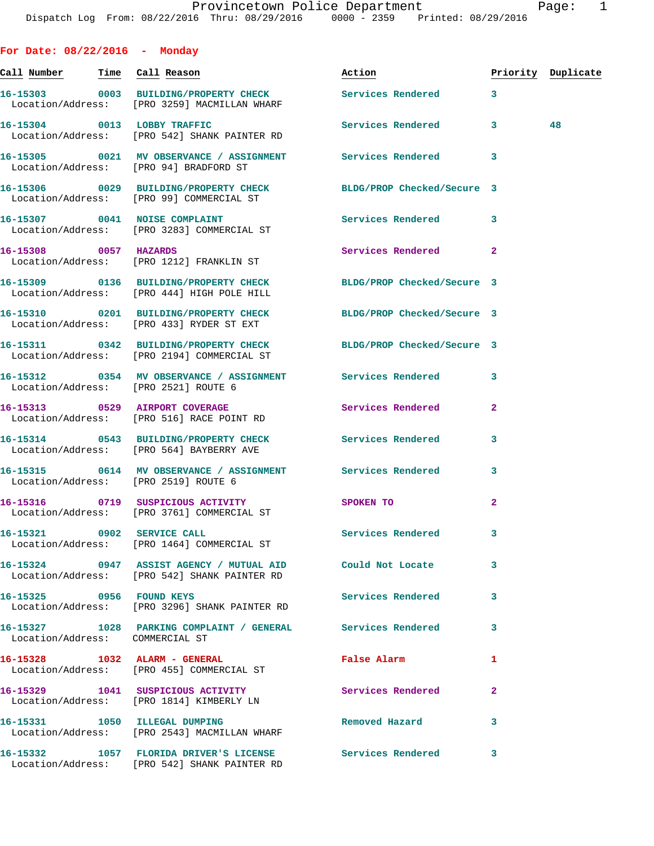**For Date: 08/22/2016 - Monday Call Number Time Call Reason Action Priority Duplicate 16-15303 0003 BUILDING/PROPERTY CHECK Services Rendered 3**  Location/Address: [PRO 3259] MACMILLAN WHARF **16-15304 0013 LOBBY TRAFFIC Services Rendered 3 48**  Location/Address: [PRO 542] SHANK PAINTER RD **16-15305 0021 MV OBSERVANCE / ASSIGNMENT Services Rendered 3**  Location/Address: [PRO 94] BRADFORD ST **16-15306 0029 BUILDING/PROPERTY CHECK BLDG/PROP Checked/Secure 3**  Location/Address: [PRO 99] COMMERCIAL ST **16-15307 0041 NOISE COMPLAINT Services Rendered 3**  Location/Address: [PRO 3283] COMMERCIAL ST **16-15308 0057 HAZARDS Services Rendered 2**  Location/Address: [PRO 1212] FRANKLIN ST **16-15309 0136 BUILDING/PROPERTY CHECK BLDG/PROP Checked/Secure 3**  Location/Address: [PRO 444] HIGH POLE HILL **16-15310 0201 BUILDING/PROPERTY CHECK BLDG/PROP Checked/Secure 3**  Location/Address: [PRO 433] RYDER ST EXT **16-15311 0342 BUILDING/PROPERTY CHECK BLDG/PROP Checked/Secure 3**  Location/Address: [PRO 2194] COMMERCIAL ST **16-15312 0354 MV OBSERVANCE / ASSIGNMENT Services Rendered 3**  Location/Address: [PRO 2521] ROUTE 6 **16-15313 0529 AIRPORT COVERAGE Services Rendered 2**  Location/Address: [PRO 516] RACE POINT RD **16-15314 0543 BUILDING/PROPERTY CHECK Services Rendered 3**  Location/Address: [PRO 564] BAYBERRY AVE **16-15315 0614 MV OBSERVANCE / ASSIGNMENT Services Rendered 3**  Location/Address: [PRO 2519] ROUTE 6 **16-15316 0719 SUSPICIOUS ACTIVITY SPOKEN TO 2**  Location/Address: [PRO 3761] COMMERCIAL ST **16-15321 0902 SERVICE CALL Services Rendered 3**  Location/Address: [PRO 1464] COMMERCIAL ST **16-15324 0947 ASSIST AGENCY / MUTUAL AID Could Not Locate 3**  Location/Address: [PRO 542] SHANK PAINTER RD **16-15325 0956 FOUND KEYS Services Rendered 3**  Location/Address: [PRO 3296] SHANK PAINTER RD **16-15327 1028 PARKING COMPLAINT / GENERAL Services Rendered 3**  Location/Address: COMMERCIAL ST **16-15328 1032 ALARM - GENERAL False Alarm 1**  Location/Address: [PRO 455] COMMERCIAL ST 16-15329 1041 SUSPICIOUS ACTIVITY **100 Services Rendered** 2

 Location/Address: [PRO 1814] KIMBERLY LN **16-15331 1050 ILLEGAL DUMPING Removed Hazard 3**  Location/Address: [PRO 2543] MACMILLAN WHARF

Location/Address: [PRO 542] SHANK PAINTER RD

**16-15332 1057 FLORIDA DRIVER'S LICENSE Services Rendered 3**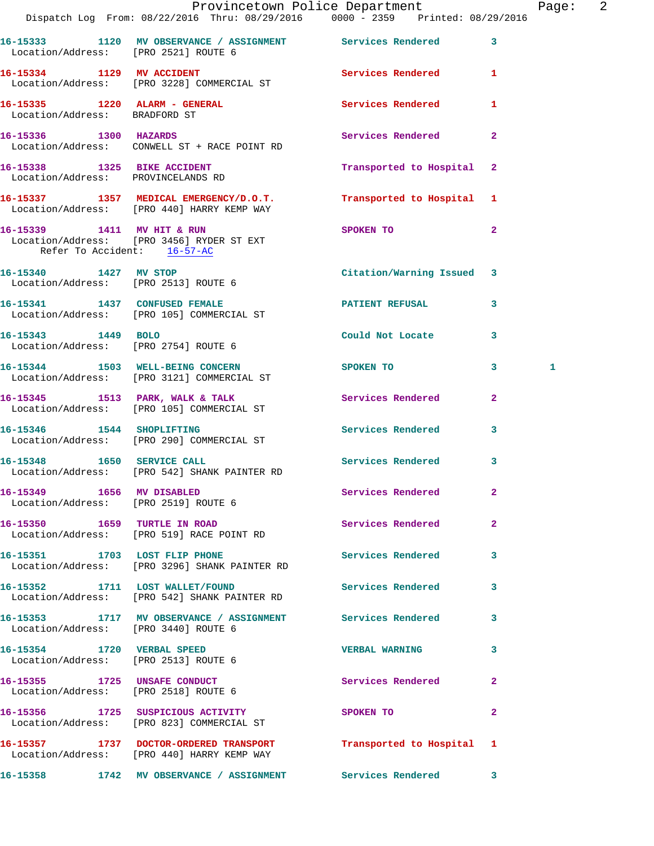|                                                                   | Dispatch Log From: 08/22/2016 Thru: 08/29/2016   0000 - 2359   Printed: 08/29/2016                             | Provincetown Police Department Page: 2 |              |   |  |
|-------------------------------------------------------------------|----------------------------------------------------------------------------------------------------------------|----------------------------------------|--------------|---|--|
| Location/Address: [PRO 2521] ROUTE 6                              | 16-15333 1120 MV OBSERVANCE / ASSIGNMENT Services Rendered                                                     |                                        | $\mathbf{3}$ |   |  |
|                                                                   | 16-15334 1129 MV ACCIDENT<br>Location/Address: [PRO 3228] COMMERCIAL ST                                        | Services Rendered 1                    |              |   |  |
| Location/Address: BRADFORD ST                                     | 16-15335 1220 ALARM - GENERAL Services Rendered                                                                |                                        | 1            |   |  |
|                                                                   | 16-15336 1300 HAZARDS<br>Location/Address: CONWELL ST + RACE POINT RD                                          | Services Rendered                      | $\mathbf{2}$ |   |  |
| 16-15338 1325 BIKE ACCIDENT<br>Location/Address: PROVINCELANDS RD |                                                                                                                | Transported to Hospital 2              |              |   |  |
|                                                                   | 16-15337 1357 MEDICAL EMERGENCY/D.O.T. Transported to Hospital 1<br>Location/Address: [PRO 440] HARRY KEMP WAY |                                        |              |   |  |
| Refer To Accident: 16-57-AC                                       | 16-15339 1411 MV HIT & RUN<br>Location/Address: [PRO 3456] RYDER ST EXT                                        | SPOKEN TO                              | $\mathbf{2}$ |   |  |
| Location/Address: [PRO 2513] ROUTE 6                              | 16-15340 1427 MV STOP                                                                                          | Citation/Warning Issued 3              |              |   |  |
|                                                                   | 16-15341 1437 CONFUSED FEMALE<br>Location/Address: [PRO 105] COMMERCIAL ST                                     | PATIENT REFUSAL                        | 3            |   |  |
| Location/Address: [PRO 2754] ROUTE 6                              | 16-15343 1449 BOLO                                                                                             | Could Not Locate                       | 3            |   |  |
|                                                                   | 16-15344 1503 WELL-BEING CONCERN<br>Location/Address: [PRO 3121] COMMERCIAL ST                                 | SPOKEN TO                              | $3^{\circ}$  | 1 |  |
|                                                                   |                                                                                                                | Services Rendered                      | $\mathbf{2}$ |   |  |
|                                                                   | 16-15346 1544 SHOPLIFTING<br>Location/Address: [PRO 290] COMMERCIAL ST                                         | <b>Services Rendered</b>               | 3            |   |  |
|                                                                   | 16-15348 1650 SERVICE CALL<br>Location/Address: [PRO 542] SHANK PAINTER RD                                     | <b>Services Rendered</b>               | 3            |   |  |
|                                                                   | 16-15349 1656 MV DISABLED<br>Location/Address: [PRO 2519] ROUTE 6                                              | <b>Services Rendered</b>               | $\mathbf{2}$ |   |  |
|                                                                   | 16-15350 1659 TURTLE IN ROAD<br>Location/Address: [PRO 519] RACE POINT RD                                      | <b>Services Rendered</b>               | $\mathbf{2}$ |   |  |
|                                                                   | 16-15351 1703 LOST FLIP PHONE<br>Location/Address: [PRO 3296] SHANK PAINTER RD                                 | Services Rendered 3                    |              |   |  |
|                                                                   | 16-15352 1711 LOST WALLET/FOUND<br>Location/Address: [PRO 542] SHANK PAINTER RD                                | <b>Services Rendered</b>               | 3            |   |  |
| Location/Address: [PRO 3440] ROUTE 6                              | 16-15353 1717 MV OBSERVANCE / ASSIGNMENT Services Rendered                                                     |                                        | 3            |   |  |
| Location/Address: [PRO 2513] ROUTE 6                              | 16-15354 1720 VERBAL SPEED                                                                                     | <b>VERBAL WARNING</b>                  | 3            |   |  |
| Location/Address: [PRO 2518] ROUTE 6                              | 16-15355 1725 UNSAFE CONDUCT                                                                                   | Services Rendered                      | $\mathbf{2}$ |   |  |
|                                                                   | 16-15356 1725 SUSPICIOUS ACTIVITY<br>Location/Address: [PRO 823] COMMERCIAL ST                                 | SPOKEN TO                              | $\mathbf{2}$ |   |  |
|                                                                   | 16-15357 1737 DOCTOR-ORDERED TRANSPORT<br>Location/Address: [PRO 440] HARRY KEMP WAY                           | Transported to Hospital 1              |              |   |  |
|                                                                   | 16-15358 1742 MV OBSERVANCE / ASSIGNMENT Services Rendered 3                                                   |                                        |              |   |  |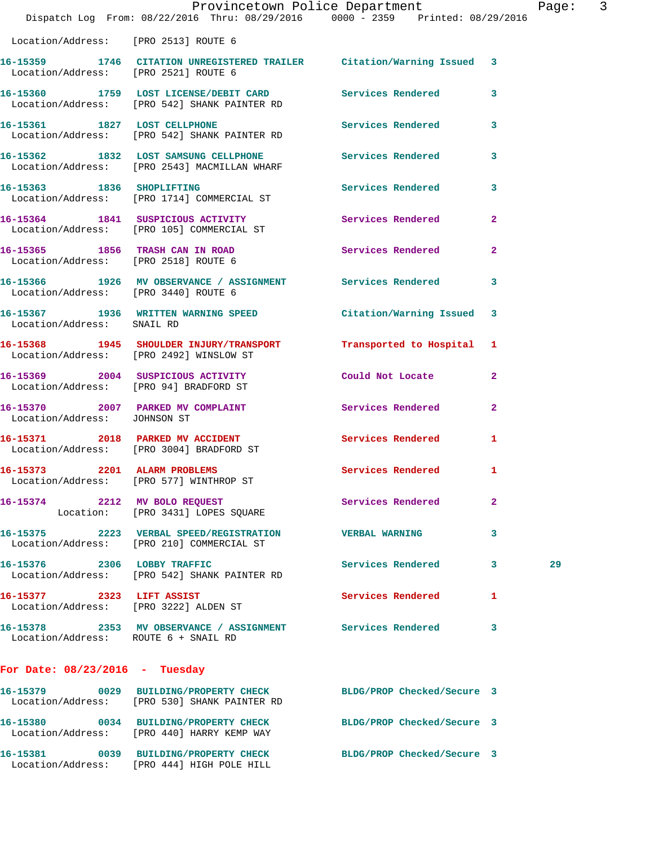|                                  | Dispatch Log From: 08/22/2016 Thru: 08/29/2016 0000 - 2359 Printed: 08/29/2016                                   | Provincetown Police Department |              | Page: 3 |  |
|----------------------------------|------------------------------------------------------------------------------------------------------------------|--------------------------------|--------------|---------|--|
|                                  | Location/Address: [PRO 2513] ROUTE 6                                                                             |                                |              |         |  |
|                                  | 16-15359 1746 CITATION UNREGISTERED TRAILER Citation/Warning Issued 3<br>Location/Address: [PRO 2521] ROUTE 6    |                                |              |         |  |
|                                  | 16-15360 1759 LOST LICENSE/DEBIT CARD Services Rendered<br>Location/Address: [PRO 542] SHANK PAINTER RD          |                                | 3            |         |  |
|                                  | 16-15361 1827 LOST CELLPHONE<br>Location/Address: [PRO 542] SHANK PAINTER RD                                     | Services Rendered              | 3            |         |  |
|                                  | 16-15362 1832 LOST SAMSUNG CELLPHONE Services Rendered<br>Location/Address: [PRO 2543] MACMILLAN WHARF           |                                | 3            |         |  |
|                                  | 16-15363 1836 SHOPLIFTING<br>Location/Address: [PRO 1714] COMMERCIAL ST                                          | Services Rendered              | 3            |         |  |
|                                  | 16-15364 1841 SUSPICIOUS ACTIVITY<br>Location/Address: [PRO 105] COMMERCIAL ST                                   | Services Rendered              | $\mathbf{2}$ |         |  |
|                                  | 16-15365 1856 TRASH CAN IN ROAD<br>Location/Address: [PRO 2518] ROUTE 6                                          | Services Rendered              | $\mathbf{2}$ |         |  |
|                                  | 16-15366 1926 MV OBSERVANCE / ASSIGNMENT Services Rendered<br>Location/Address: [PRO 3440] ROUTE 6               |                                | $\mathbf{3}$ |         |  |
| Location/Address: SNAIL RD       | 16-15367 1936 WRITTEN WARNING SPEED Citation/Warning Issued 3                                                    |                                |              |         |  |
|                                  | 16-15368 1945 SHOULDER INJURY/TRANSPORT Transported to Hospital 1<br>Location/Address: [PRO 2492] WINSLOW ST     |                                |              |         |  |
|                                  | 16-15369 2004 SUSPICIOUS ACTIVITY<br>Location/Address: [PRO 94] BRADFORD ST                                      | Could Not Locate               | $\mathbf{2}$ |         |  |
| Location/Address: JOHNSON ST     | 16-15370 2007 PARKED MV COMPLAINT Services Rendered                                                              |                                | $\mathbf{2}$ |         |  |
|                                  | 16-15371 2018 PARKED MV ACCIDENT<br>Location/Address: [PRO 3004] BRADFORD ST                                     | Services Rendered              | 1            |         |  |
| 16-15373 2201 ALARM PROBLEMS     | Location/Address: [PRO 577] WINTHROP ST                                                                          | Services Rendered 1            |              |         |  |
|                                  | 16-15374 2212 MV BOLO REQUEST<br>Location: [PRO 3431] LOPES SQUARE                                               | Services Rendered              | $\mathbf{2}$ |         |  |
|                                  | 16-15375  2223  VERBAL SPEED/REGISTRATION  VERBAL WARNING<br>Location/Address: [PRO 210] COMMERCIAL ST           |                                | 3            |         |  |
|                                  | 16-15376 2306 LOBBY TRAFFIC<br>Location/Address: [PRO 542] SHANK PAINTER RD                                      | Services Rendered              | $\mathbf{3}$ | 29      |  |
|                                  | 16-15377 2323 LIFT ASSIST<br>Location/Address: [PRO 3222] ALDEN ST                                               | <b>Services Rendered</b>       | 1            |         |  |
|                                  | 16-15378 2353 MV OBSERVANCE / ASSIGNMENT Services Rendered<br>Location/Address: ROUTE 6 + SNAIL RD               |                                | 3            |         |  |
| For Date: $08/23/2016$ - Tuesday |                                                                                                                  |                                |              |         |  |
|                                  | 16-15379 0029 BUILDING/PROPERTY CHECK BLDG/PROP Checked/Secure 3<br>Location/Address: [PRO 530] SHANK PAINTER RD |                                |              |         |  |
|                                  | 16-15380 0034 BUILDING/PROPERTY CHECK BLDG/PROP Checked/Secure 3<br>Location/Address: [PRO 440] HARRY KEMP WAY   |                                |              |         |  |
|                                  | 16-15381 0039 BUILDING/PROPERTY CHECK BLDG/PROP Checked/Secure 3<br>Location/Address: [PRO 444] HIGH POLE HILL   |                                |              |         |  |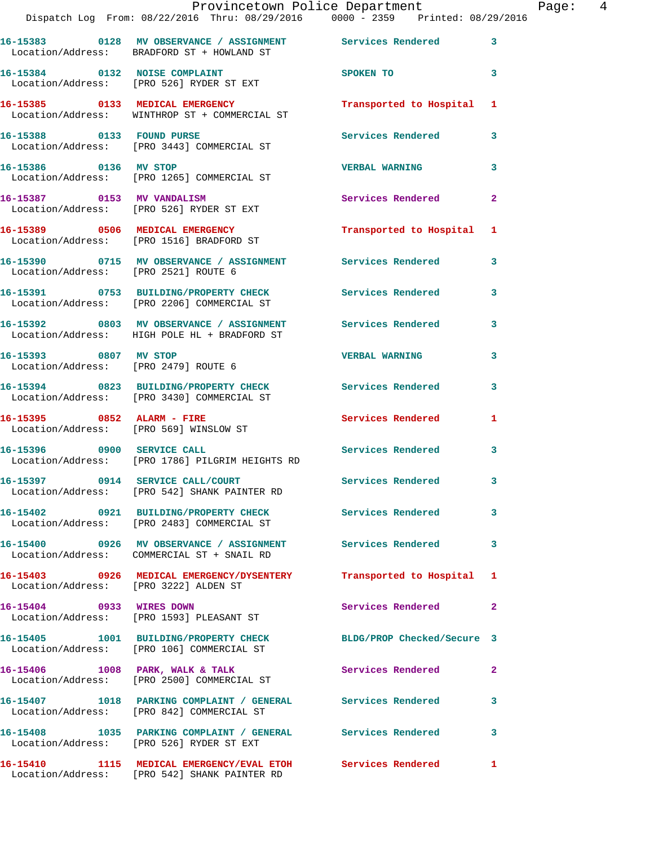|                                       | Provincetown Police Department<br>Dispatch Log From: 08/22/2016 Thru: 08/29/2016 0000 - 2359 Printed: 08/29/2016     |                          |              |
|---------------------------------------|----------------------------------------------------------------------------------------------------------------------|--------------------------|--------------|
|                                       | 16-15383      0128   MV OBSERVANCE / ASSIGNMENT      Services Rendered<br>Location/Address: BRADFORD ST + HOWLAND ST |                          | 3            |
|                                       | 16-15384 0132 NOISE COMPLAINT<br>Location/Address: [PRO 526] RYDER ST EXT                                            | SPOKEN TO                | 3            |
|                                       | 16-15385 0133 MEDICAL EMERGENCY<br>Location/Address: WINTHROP ST + COMMERCIAL ST                                     | Transported to Hospital  | 1            |
| 16-15388 0133 FOUND PURSE             | Location/Address: [PRO 3443] COMMERCIAL ST                                                                           | Services Rendered        | 3            |
|                                       | 16-15386 0136 MV STOP<br>Location/Address: [PRO 1265] COMMERCIAL ST                                                  | <b>VERBAL WARNING</b>    | 3            |
| 16-15387 0153 MV VANDALISM            | Location/Address: [PRO 526] RYDER ST EXT                                                                             | <b>Services Rendered</b> | 2            |
|                                       | 16-15389 0506 MEDICAL EMERGENCY<br>Location/Address: [PRO 1516] BRADFORD ST                                          | Transported to Hospital  | -1           |
| Location/Address: [PRO 2521] ROUTE 6  | 16-15390 0715 MV OBSERVANCE / ASSIGNMENT Services Rendered                                                           |                          | 3            |
|                                       | 16-15391 0753 BUILDING/PROPERTY CHECK Services Rendered<br>Location/Address: [PRO 2206] COMMERCIAL ST                |                          | 3            |
|                                       | 16-15392 0803 MV OBSERVANCE / ASSIGNMENT Services Rendered<br>Location/Address: HIGH POLE HL + BRADFORD ST           |                          | 3            |
| 16-15393 0807 MV STOP                 | Location/Address: [PRO 2479] ROUTE 6                                                                                 | <b>VERBAL WARNING</b>    | 3            |
|                                       | 16-15394 0823 BUILDING/PROPERTY CHECK Services Rendered<br>Location/Address: [PRO 3430] COMMERCIAL ST                |                          | 3            |
| 16-15395 0852 ALARM - FIRE            | Location/Address: [PRO 569] WINSLOW ST                                                                               | <b>Services Rendered</b> | 1            |
|                                       | 16-15396 0900 SERVICE CALL<br>Location/Address: [PRO 1786] PILGRIM HEIGHTS RD                                        | <b>Services Rendered</b> | 3            |
|                                       | 16-15397 0914 SERVICE CALL/COURT<br>Location/Address: [PRO 542] SHANK PAINTER RD                                     | <b>Services Rendered</b> |              |
|                                       | 16-15402 0921 BUILDING/PROPERTY CHECK Services Rendered<br>Location/Address: [PRO 2483] COMMERCIAL ST                |                          | 3            |
|                                       | 16-15400 0926 MV OBSERVANCE / ASSIGNMENT Services Rendered<br>Location/Address: COMMERCIAL ST + SNAIL RD             |                          | 3            |
| Location/Address: [PRO 3222] ALDEN ST | 16-15403 0926 MEDICAL EMERGENCY/DYSENTERY Transported to Hospital                                                    |                          | 1            |
| 16-15404 0933 WIRES DOWN              | Location/Address: [PRO 1593] PLEASANT ST                                                                             | <b>Services Rendered</b> | $\mathbf{2}$ |
|                                       | 16-15405 1001 BUILDING/PROPERTY CHECK BLDG/PROP Checked/Secure 3<br>Location/Address: [PRO 106] COMMERCIAL ST        |                          |              |
|                                       | 16-15406 1008 PARK, WALK & TALK<br>Location/Address: [PRO 2500] COMMERCIAL ST                                        | <b>Services Rendered</b> | 2            |
|                                       | 16-15407 1018 PARKING COMPLAINT / GENERAL Services Rendered<br>Location/Address: [PRO 842] COMMERCIAL ST             |                          | 3            |
|                                       | 16-15408 1035 PARKING COMPLAINT / GENERAL Services Rendered<br>Location/Address: [PRO 526] RYDER ST EXT              |                          | 3            |
|                                       | 16-15410 1115 MEDICAL EMERGENCY/EVAL ETOH Services Rendered                                                          |                          | 1.           |

Location/Address: [PRO 542] SHANK PAINTER RD

Page: 4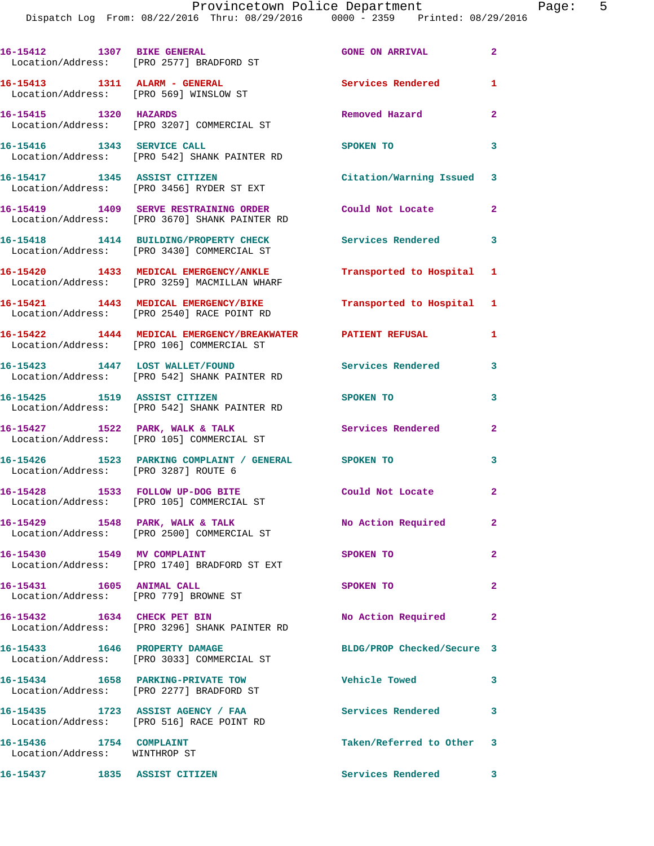|                       | 16-15412 1307 BIKE GENERAL<br>Location/Address: [PRO 2577] BRADFORD ST                                    | <b>GONE ON ARRIVAL</b>     | $\overline{2}$ |
|-----------------------|-----------------------------------------------------------------------------------------------------------|----------------------------|----------------|
|                       | Location/Address: [PRO 569] WINSLOW ST                                                                    | Services Rendered          | $\mathbf{1}$   |
| 16-15415 1320 HAZARDS | Location/Address: [PRO 3207] COMMERCIAL ST                                                                | Removed Hazard             | $\overline{2}$ |
|                       | 16-15416 1343 SERVICE CALL<br>Location/Address: [PRO 542] SHANK PAINTER RD                                | SPOKEN TO                  | 3              |
|                       | 16-15417 1345 ASSIST CITIZEN<br>Location/Address: [PRO 3456] RYDER ST EXT                                 | Citation/Warning Issued 3  |                |
|                       | 16-15419 1409 SERVE RESTRAINING ORDER Could Not Locate 2<br>Location/Address: [PRO 3670] SHANK PAINTER RD |                            |                |
|                       | 16-15418 1414 BUILDING/PROPERTY CHECK<br>Location/Address: [PRO 3430] COMMERCIAL ST                       | <b>Services Rendered</b> 3 |                |
|                       | 16-15420 1433 MEDICAL EMERGENCY/ANKLE<br>Location/Address: [PRO 3259] MACMILLAN WHARF                     | Transported to Hospital 1  |                |
|                       | 16-15421 1443 MEDICAL EMERGENCY/BIKE<br>Location/Address: [PRO 2540] RACE POINT RD                        | Transported to Hospital 1  |                |
|                       | 16-15422 1444 MEDICAL EMERGENCY/BREAKWATER PATIENT REFUSAL<br>Location/Address: [PRO 106] COMMERCIAL ST   |                            | $\mathbf{1}$   |
|                       | 16-15423 1447 LOST WALLET/FOUND<br>Location/Address: [PRO 542] SHANK PAINTER RD                           | <b>Services Rendered</b>   | 3              |
|                       | 16-15425 1519 ASSIST CITIZEN<br>Location/Address: [PRO 542] SHANK PAINTER RD                              | SPOKEN TO                  | 3              |
|                       | 16-15427 1522 PARK, WALK & TALK<br>Location/Address: [PRO 105] COMMERCIAL ST                              | <b>Services Rendered</b>   | $\overline{a}$ |
|                       | 16-15426 1523 PARKING COMPLAINT / GENERAL SPOKEN TO<br>Location/Address: [PRO 3287] ROUTE 6               |                            | 3              |
|                       | 16-15428 1533 FOLLOW UP-DOG BITE<br>Location/Address: [PRO 105] COMMERCIAL ST                             | Could Not Locate 2         |                |
|                       | 16-15429 1548 PARK, WALK & TALK<br>Location/Address: [PRO 2500] COMMERCIAL ST                             | No Action Required         | $\mathbf{2}$   |
|                       | 16-15430 1549 MV COMPLAINT<br>Location/Address: [PRO 1740] BRADFORD ST EXT                                | SPOKEN TO                  | $\mathbf{2}$   |
|                       | 16-15431 1605 ANIMAL CALL                                                                                 | SPOKEN TO                  | $\overline{2}$ |
|                       | Location/Address: [PRO 779] BROWNE ST<br>16-15432 1634 CHECK PET BIN                                      | No Action Required         | $\mathbf{2}$   |
|                       | Location/Address: [PRO 3296] SHANK PAINTER RD<br>16-15433 1646 PROPERTY DAMAGE                            | BLDG/PROP Checked/Secure 3 |                |
|                       | Location/Address: [PRO 3033] COMMERCIAL ST<br>16-15434 1658 PARKING-PRIVATE TOW                           | <b>Vehicle Towed</b>       | 3              |
|                       | Location/Address: [PRO 2277] BRADFORD ST<br>16-15435 1723 ASSIST AGENCY / FAA                             | Services Rendered          | 3              |
|                       | Location/Address: [PRO 516] RACE POINT RD<br>16-15436 1754 COMPLAINT                                      | Taken/Referred to Other 3  |                |
|                       | Location/Address: WINTHROP ST<br>16-15437 1835 ASSIST CITIZEN                                             | Services Rendered          | 3              |
|                       |                                                                                                           |                            |                |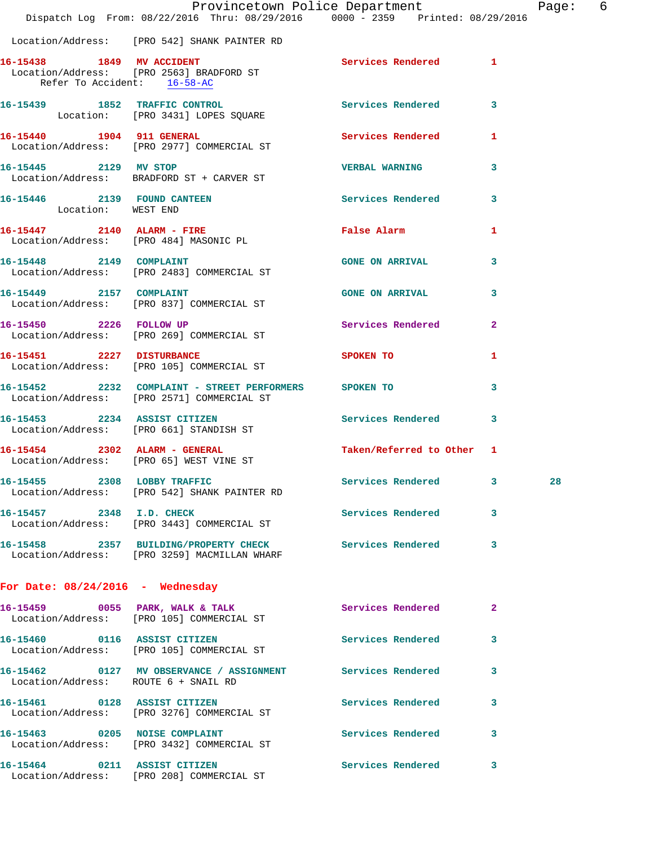|                                                   |                                                                                                                    | Provincetown Police Department |                | Page: 6 |  |
|---------------------------------------------------|--------------------------------------------------------------------------------------------------------------------|--------------------------------|----------------|---------|--|
|                                                   | Dispatch Log From: 08/22/2016 Thru: 08/29/2016 0000 - 2359 Printed: 08/29/2016                                     |                                |                |         |  |
|                                                   | Location/Address: [PRO 542] SHANK PAINTER RD                                                                       |                                |                |         |  |
| Refer To Accident: 16-58-AC                       | 16-15438 1849 MV ACCIDENT<br>Location/Address: [PRO 2563] BRADFORD ST<br>Refer To Accident: [PRO 2563] BRADFORD ST | Services Rendered 1            |                |         |  |
|                                                   | 16-15439 1852 TRAFFIC CONTROL<br>Location: [PRO 3431] LOPES SQUARE                                                 | Services Rendered 3            |                |         |  |
|                                                   | 16-15440 1904 911 GENERAL Services Rendered 1<br>Location/Address: [PRO 2977] COMMERCIAL ST                        |                                |                |         |  |
|                                                   | 16-15445 2129 MV STOP<br>Location/Address: BRADFORD ST + CARVER ST                                                 | <b>VERBAL WARNING</b>          | 3              |         |  |
| 16-15446 2139 FOUND CANTEEN<br>Location: WEST END |                                                                                                                    | Services Rendered 3            |                |         |  |
|                                                   | 16-15447 2140 ALARM - FIRE<br>Location/Address: [PRO 484] MASONIC PL                                               | False Alarm                    | 1              |         |  |
|                                                   | 16-15448 2149 COMPLAINT<br>Location/Address: [PRO 2483] COMMERCIAL ST                                              | <b>GONE ON ARRIVAL</b>         | 3              |         |  |
| 16-15449 2157 COMPLAINT                           | Location/Address: [PRO 837] COMMERCIAL ST                                                                          | GONE ON ARRIVAL 3              |                |         |  |
|                                                   | 16-15450 2226 FOLLOW UP<br>Location/Address: [PRO 269] COMMERCIAL ST                                               | Services Rendered              | $\overline{2}$ |         |  |
| 16-15451 2227 DISTURBANCE                         | Location/Address: [PRO 105] COMMERCIAL ST                                                                          | <b>SPOKEN TO</b>               | 1              |         |  |
|                                                   | 16-15452 2232 COMPLAINT - STREET PERFORMERS SPOKEN TO<br>Location/Address: [PRO 2571] COMMERCIAL ST                |                                | 3              |         |  |
| 16-15453 2234 ASSIST CITIZEN                      | Location/Address: [PRO 661] STANDISH ST                                                                            | Services Rendered 3            |                |         |  |
|                                                   | 16-15454 2302 ALARM - GENERAL<br>Location/Address: [PRO 65] WEST VINE ST                                           | Taken/Referred to Other 1      |                |         |  |
|                                                   | 16-15455 2308 LOBBY TRAFFIC<br>Location/Address: [PRO 542] SHANK PAINTER RD                                        | Services Rendered 3            |                | 28      |  |
| 16-15457 2348 I.D. CHECK                          | Location/Address: [PRO 3443] COMMERCIAL ST                                                                         | Services Rendered 3            |                |         |  |
|                                                   | 16-15458 2357 BUILDING/PROPERTY CHECK Services Rendered 3<br>Location/Address: [PRO 3259] MACMILLAN WHARF          |                                |                |         |  |
| For Date: $08/24/2016$ - Wednesday                |                                                                                                                    |                                |                |         |  |
|                                                   | 16-15459 0055 PARK, WALK & TALK<br>Location/Address: [PRO 105] COMMERCIAL ST                                       | Services Rendered              | $\mathbf{2}$   |         |  |
|                                                   | 16-15460 0116 ASSIST CITIZEN<br>Location/Address: [PRO 105] COMMERCIAL ST                                          | Services Rendered              | 3              |         |  |
| Location/Address: ROUTE 6 + SNAIL RD              | 16-15462 0127 MV OBSERVANCE / ASSIGNMENT Services Rendered 3                                                       |                                |                |         |  |
|                                                   | 16-15461 0128 ASSIST CITIZEN<br>Location/Address: [PRO 3276] COMMERCIAL ST                                         | Services Rendered              | 3              |         |  |
| 16-15463 0205 NOISE COMPLAINT                     | Location/Address: [PRO 3432] COMMERCIAL ST                                                                         | Services Rendered 3            |                |         |  |
|                                                   | 16-15464 0211 ASSIST CITIZEN<br>Location/Address: [PRO 208] COMMERCIAL ST                                          | Services Rendered 3            |                |         |  |
|                                                   |                                                                                                                    |                                |                |         |  |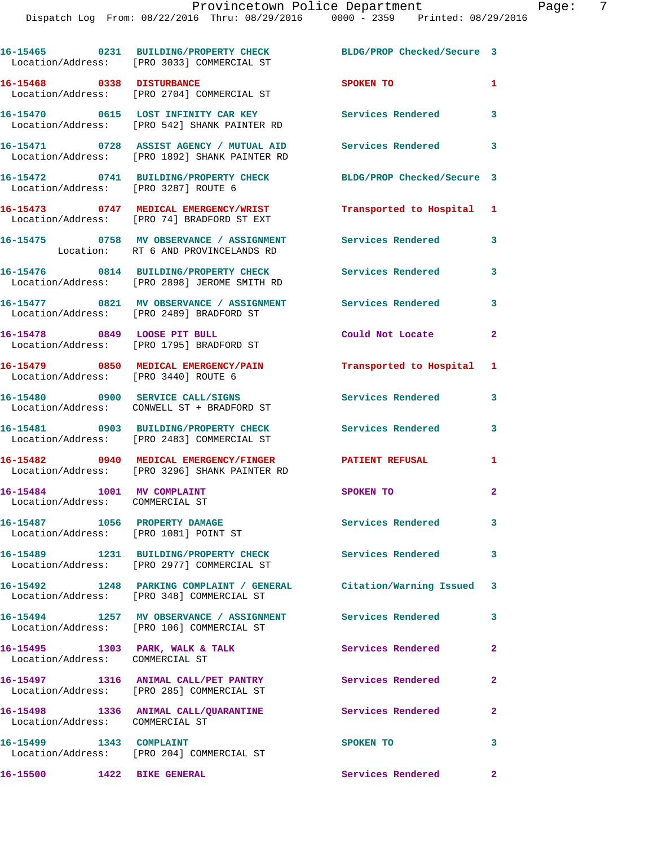|                                                                        | 16-15465 0231 BUILDING/PROPERTY CHECK<br>Location/Address: [PRO 3033] COMMERCIAL ST                              | BLDG/PROP Checked/Secure 3 |                |
|------------------------------------------------------------------------|------------------------------------------------------------------------------------------------------------------|----------------------------|----------------|
| 16-15468 0338 DISTURBANCE                                              | Location/Address: [PRO 2704] COMMERCIAL ST                                                                       | SPOKEN TO                  | $\mathbf{1}$   |
|                                                                        | 16-15470 0615 LOST INFINITY CAR KEY<br>Location/Address: [PRO 542] SHANK PAINTER RD                              | <b>Services Rendered</b>   | 3              |
|                                                                        | 16-15471 0728 ASSIST AGENCY / MUTUAL AID Services Rendered 3<br>Location/Address: [PRO 1892] SHANK PAINTER RD    |                            |                |
| Location/Address: [PRO 3287] ROUTE 6                                   | 16-15472 0741 BUILDING/PROPERTY CHECK                                                                            | BLDG/PROP Checked/Secure 3 |                |
|                                                                        | 16-15473 0747 MEDICAL EMERGENCY/WRIST<br>Location/Address: [PRO 74] BRADFORD ST EXT                              | Transported to Hospital 1  |                |
|                                                                        | 16-15475 0758 MV OBSERVANCE / ASSIGNMENT<br>Location: RT 6 AND PROVINCELANDS RD                                  | Services Rendered          | 3              |
|                                                                        | 16-15476 0814 BUILDING/PROPERTY CHECK<br>Location/Address: [PRO 2898] JEROME SMITH RD                            | <b>Services Rendered</b>   | 3              |
|                                                                        | 16-15477 0821 MV OBSERVANCE / ASSIGNMENT Services Rendered<br>Location/Address: [PRO 2489] BRADFORD ST           |                            | 3              |
|                                                                        | 16-15478 0849 LOOSE PIT BULL<br>Location/Address: [PRO 1795] BRADFORD ST                                         | Could Not Locate           | $\mathbf{2}$   |
| Location/Address: [PRO 3440] ROUTE 6                                   | 16-15479 0850 MEDICAL EMERGENCY/PAIN                                                                             | Transported to Hospital 1  |                |
|                                                                        | 16-15480 0900 SERVICE CALL/SIGNS<br>Location/Address: CONWELL ST + BRADFORD ST                                   | Services Rendered          | 3              |
|                                                                        | 16-15481 0903 BUILDING/PROPERTY CHECK<br>Location/Address: [PRO 2483] COMMERCIAL ST                              | Services Rendered          | 3              |
|                                                                        | 16-15482 0940 MEDICAL EMERGENCY/FINGER PATIENT REFUSAL<br>Location/Address: [PRO 3296] SHANK PAINTER RD          |                            | 1              |
| 16-15484 1001 MV COMPLAINT<br>Location/Address: COMMERCIAL ST          |                                                                                                                  | SPOKEN TO                  | $\overline{2}$ |
| 16-15487 1056 PROPERTY DAMAGE<br>Location/Address: [PRO 1081] POINT ST |                                                                                                                  | <b>Services Rendered</b>   | 3              |
|                                                                        | Location/Address: [PRO 2977] COMMERCIAL ST                                                                       | <b>Services Rendered</b>   | 3              |
|                                                                        | 16-15492 1248 PARKING COMPLAINT / GENERAL Citation/Warning Issued 3<br>Location/Address: [PRO 348] COMMERCIAL ST |                            |                |
|                                                                        | 16-15494 1257 MV OBSERVANCE / ASSIGNMENT<br>Location/Address: [PRO 106] COMMERCIAL ST                            | <b>Services Rendered</b>   | 3              |
| 16-15495 1303 PARK, WALK & TALK<br>Location/Address: COMMERCIAL ST     |                                                                                                                  | Services Rendered          | $\overline{2}$ |
|                                                                        | 16-15497 1316 ANIMAL CALL/PET PANTRY<br>Location/Address: [PRO 285] COMMERCIAL ST                                | Services Rendered          | $\overline{a}$ |
| Location/Address: COMMERCIAL ST                                        | 16-15498 1336 ANIMAL CALL/QUARANTINE                                                                             | Services Rendered          | $\mathbf{2}$   |
| 16-15499 1343 COMPLAINT                                                | Location/Address: [PRO 204] COMMERCIAL ST                                                                        | SPOKEN TO                  | 3              |
| 16-15500 1422 BIKE GENERAL                                             |                                                                                                                  | Services Rendered          | $\mathbf{2}$   |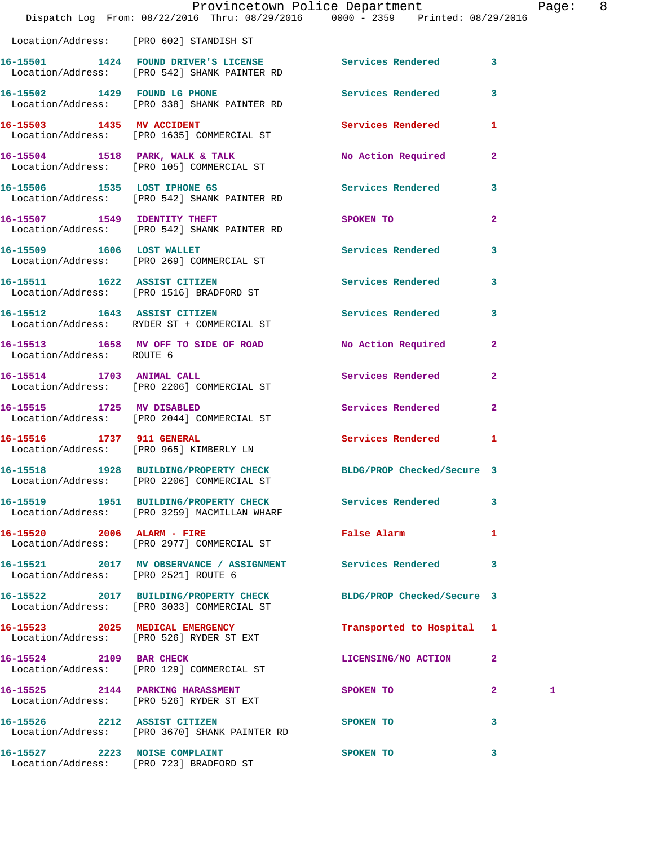|                                      | Provincetown Police Department<br>Dispatch Log From: 08/22/2016 Thru: 08/29/2016 0000 - 2359 Printed: 08/29/2016 |                           |              | Page: 8 |  |
|--------------------------------------|------------------------------------------------------------------------------------------------------------------|---------------------------|--------------|---------|--|
|                                      | Location/Address: [PRO 602] STANDISH ST                                                                          |                           |              |         |  |
|                                      | 16-15501 1424 FOUND DRIVER'S LICENSE Services Rendered 3<br>Location/Address: [PRO 542] SHANK PAINTER RD         |                           |              |         |  |
|                                      | 16-15502 1429 FOUND LG PHONE<br>Location/Address: [PRO 338] SHANK PAINTER RD                                     | Services Rendered 3       |              |         |  |
|                                      | 16-15503 1435 MV ACCIDENT<br>Location/Address: [PRO 1635] COMMERCIAL ST                                          | Services Rendered 1       |              |         |  |
|                                      | 16-15504 1518 PARK, WALK & TALK<br>Location/Address: [PRO 105] COMMERCIAL ST                                     | No Action Required        | $\mathbf{2}$ |         |  |
|                                      | 16-15506 1535 LOST IPHONE 6S<br>Location/Address: [PRO 542] SHANK PAINTER RD                                     | Services Rendered 3       |              |         |  |
|                                      | 16-15507 1549 IDENTITY THEFT<br>Location/Address: [PRO 542] SHANK PAINTER RD                                     | SPOKEN TO                 | $\mathbf{2}$ |         |  |
|                                      | 16-15509 1606 LOST WALLET<br>Location/Address: [PRO 269] COMMERCIAL ST                                           | Services Rendered 3       |              |         |  |
|                                      | 16-15511 1622 ASSIST CITIZEN<br>Location/Address: [PRO 1516] BRADFORD ST                                         | Services Rendered 3       |              |         |  |
|                                      | 16-15512 1643 ASSIST CITIZEN<br>Location/Address: RYDER ST + COMMERCIAL ST                                       | Services Rendered 3       |              |         |  |
| Location/Address: ROUTE 6            | 16-15513 1658 MV OFF TO SIDE OF ROAD                                                                             | No Action Required 2      |              |         |  |
| 16-15514 1703 ANIMAL CALL            | Location/Address: [PRO 2206] COMMERCIAL ST                                                                       | Services Rendered 2       |              |         |  |
|                                      | 16-15515 1725 MV DISABLED<br>Location/Address: [PRO 2044] COMMERCIAL ST                                          | Services Rendered         | $\mathbf{2}$ |         |  |
| 16-15516 1737 911 GENERAL            | Location/Address: [PRO 965] KIMBERLY LN                                                                          | Services Rendered 1       |              |         |  |
|                                      | 16-15518 1928 BUILDING/PROPERTY CHECK BLDG/PROP Checked/Secure 3<br>Location/Address: [PRO 2206] COMMERCIAL ST   |                           |              |         |  |
|                                      | 16-15519 1951 BUILDING/PROPERTY CHECK Services Rendered<br>Location/Address: [PRO 3259] MACMILLAN WHARF          |                           | $\mathbf{3}$ |         |  |
|                                      | 16-15520 2006 ALARM - FIRE<br>Location/Address: [PRO 2977] COMMERCIAL ST                                         | False Alarm               | $\mathbf{1}$ |         |  |
| Location/Address: [PRO 2521] ROUTE 6 | 16-15521 2017 MV OBSERVANCE / ASSIGNMENT Services Rendered 3                                                     |                           |              |         |  |
|                                      | 16-15522 2017 BUILDING/PROPERTY CHECK BLDG/PROP Checked/Secure 3<br>Location/Address: [PRO 3033] COMMERCIAL ST   |                           |              |         |  |
|                                      | 16-15523 2025 MEDICAL EMERGENCY<br>Location/Address: [PRO 526] RYDER ST EXT                                      | Transported to Hospital 1 |              |         |  |
|                                      | 16-15524 2109 BAR CHECK<br>Location/Address: [PRO 129] COMMERCIAL ST                                             | LICENSING/NO ACTION       | $\mathbf{2}$ |         |  |
|                                      | 16-15525 2144 PARKING HARASSMENT<br>Location/Address: [PRO 526] RYDER ST EXT                                     | SPOKEN TO                 | $\mathbf{2}$ | 1       |  |
|                                      | 16-15526 2212 ASSIST CITIZEN<br>Location/Address: [PRO 3670] SHANK PAINTER RD                                    | SPOKEN TO                 | 3            |         |  |
| 16-15527 2223 NOISE COMPLAINT        | Location/Address: [PRO 723] BRADFORD ST                                                                          | SPOKEN TO                 | 3            |         |  |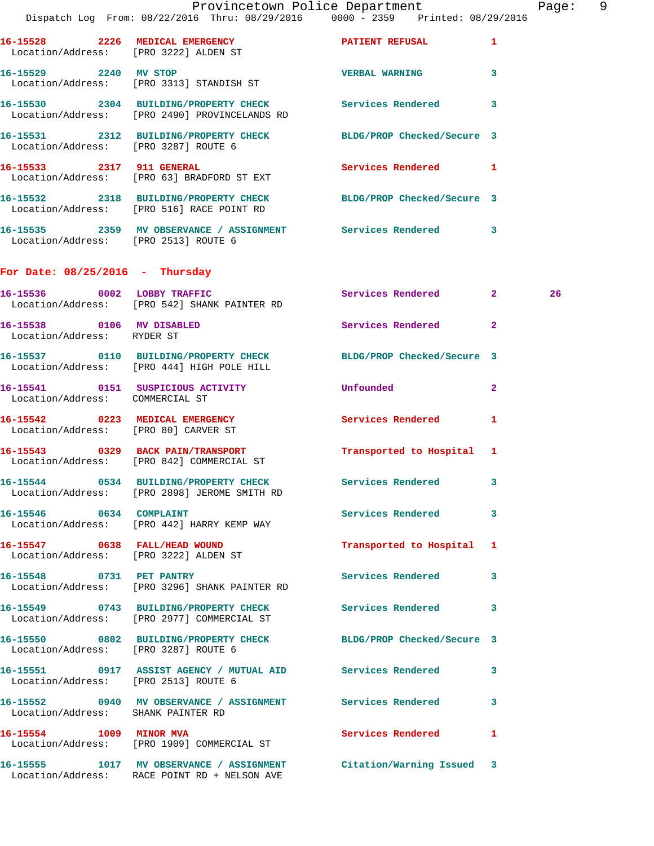|                                      | Provincetown Police Department The Page: 9<br>Dispatch Log From: 08/22/2016 Thru: 08/29/2016  0000 - 2359  Printed: 08/29/2016 |                           |              |    |  |
|--------------------------------------|--------------------------------------------------------------------------------------------------------------------------------|---------------------------|--------------|----|--|
|                                      | 16-15528 2226 MEDICAL EMERGENCY 2007 PATIENT REFUSAL 1<br>Location/Address: [PRO 3222] ALDEN ST                                |                           |              |    |  |
|                                      | 16-15529 2240 MV STOP<br>Location/Address: [PRO 3313] STANDISH ST                                                              | <b>VERBAL WARNING</b>     | $\mathbf{3}$ |    |  |
|                                      | 16-15530 2304 BUILDING/PROPERTY CHECK Services Rendered 3<br>Location/Address: [PRO 2490] PROVINCELANDS RD                     |                           |              |    |  |
|                                      | 16-15531 2312 BUILDING/PROPERTY CHECK BLDG/PROP Checked/Secure 3<br>Location/Address: [PRO 3287] ROUTE 6                       |                           |              |    |  |
|                                      | 16-15533 2317 911 GENERAL<br>Location/Address: [PRO 63] BRADFORD ST EXT                                                        | Services Rendered 1       |              |    |  |
|                                      | 16-15532 2318 BUILDING/PROPERTY CHECK BLDG/PROP Checked/Secure 3<br>Location/Address: [PRO 516] RACE POINT RD                  |                           |              |    |  |
| Location/Address: [PRO 2513] ROUTE 6 | 16-15535 2359 MV OBSERVANCE / ASSIGNMENT Services Rendered 3                                                                   |                           |              |    |  |
| For Date: $08/25/2016$ - Thursday    |                                                                                                                                |                           |              |    |  |
|                                      | 16-15536 0002 LOBBY TRAFFIC<br>Location/Address: [PRO 542] SHANK PAINTER RD                                                    | Services Rendered 2       |              | 26 |  |
| Location/Address: RYDER ST           | 16-15538 0106 MV DISABLED                                                                                                      | Services Rendered 2       |              |    |  |
|                                      | 16-15537   0110   BUILDING/PROPERTY CHECK   BLDG/PROP Checked/Secure 3<br>Location/Address: [PRO 444] HIGH POLE HILL           |                           |              |    |  |
| Location/Address: COMMERCIAL ST      | 16-15541 0151 SUSPICIOUS ACTIVITY Unfounded                                                                                    |                           | $\mathbf{2}$ |    |  |
| Location/Address: [PRO 80] CARVER ST | 16-15542 0223 MEDICAL EMERGENCY                                                                                                | Services Rendered 1       |              |    |  |
|                                      | 16-15543 0329 BACK PAIN/TRANSPORT<br>Location/Address: [PRO 842] COMMERCIAL ST                                                 | Transported to Hospital 1 |              |    |  |
|                                      | 16-15544 0534 BUILDING/PROPERTY CHECK<br>Location/Address: [PRO 2898] JEROME SMITH RD                                          | Services Rendered         | 3            |    |  |
| 16-15546 0634 COMPLAINT              | Location/Address: [PRO 442] HARRY KEMP WAY                                                                                     | Services Rendered 3       |              |    |  |
|                                      | 16-15547 0638 FALL/HEAD WOUND<br>Location/Address: [PRO 3222] ALDEN ST                                                         | Transported to Hospital 1 |              |    |  |
| 16-15548 0731 PET PANTRY             | Location/Address: [PRO 3296] SHANK PAINTER RD                                                                                  | Services Rendered 3       |              |    |  |
|                                      | 16-15549 0743 BUILDING/PROPERTY CHECK<br>Location/Address: [PRO 2977] COMMERCIAL ST                                            | Services Rendered         | 3            |    |  |
| Location/Address: [PRO 3287] ROUTE 6 | 16-15550 0802 BUILDING/PROPERTY CHECK BLDG/PROP Checked/Secure 3                                                               |                           |              |    |  |
| Location/Address: [PRO 2513] ROUTE 6 | 16-15551 0917 ASSIST AGENCY / MUTUAL AID Services Rendered                                                                     |                           | 3            |    |  |
| Location/Address: SHANK PAINTER RD   | 16-15552 0940 MV OBSERVANCE / ASSIGNMENT Services Rendered 3                                                                   |                           |              |    |  |

**16-15554 1009 MINOR MVA Services Rendered 1**  Location/Address: [PRO 1909] COMMERCIAL ST

**16-15555 1017 MV OBSERVANCE / ASSIGNMENT Citation/Warning Issued 3**  Location/Address: RACE POINT RD + NELSON AVE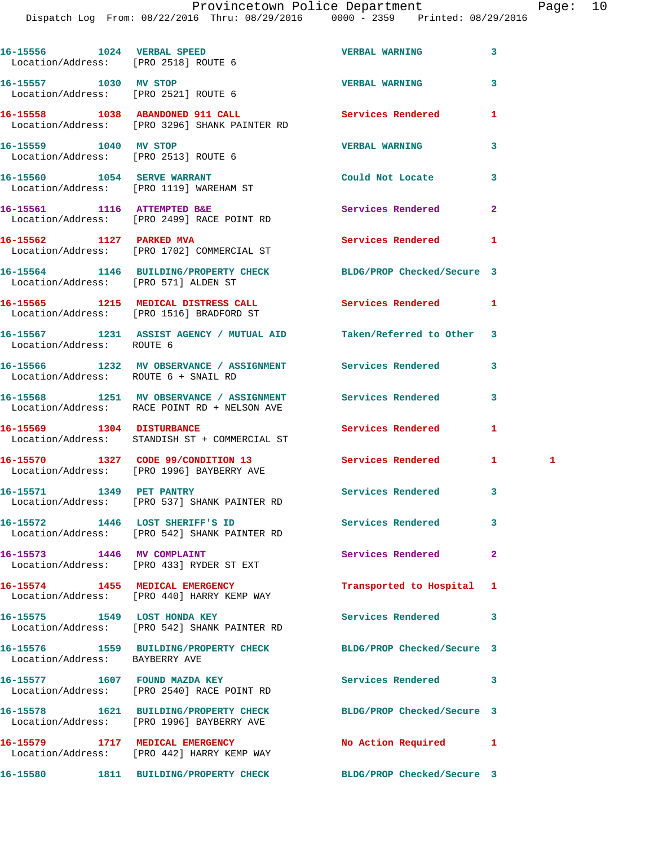Dispatch Log From: 08/22/2016 Thru: 08/29/2016 0000 - 2359 Printed: 08/29/2016

|                                | 16-15556 1024 VERBAL SPEED<br>Location/Address: [PRO 2518] ROUTE 6                                         | <b>VERBAL WARNING</b>      | 3            |   |
|--------------------------------|------------------------------------------------------------------------------------------------------------|----------------------------|--------------|---|
|                                | 16-15557 1030 MV STOP<br>Location/Address: [PRO 2521] ROUTE 6                                              | <b>VERBAL WARNING</b>      | 3            |   |
|                                | 16-15558 1038 ABANDONED 911 CALL<br>Location/Address: [PRO 3296] SHANK PAINTER RD                          | Services Rendered          | 1            |   |
| 16-15559 1040 MV STOP          | Location/Address: [PRO 2513] ROUTE 6                                                                       | <b>VERBAL WARNING</b>      | 3            |   |
|                                | 16-15560 1054 SERVE WARRANT<br>Location/Address: [PRO 1119] WAREHAM ST                                     | Could Not Locate           | 3            |   |
|                                | 16-15561 1116 ATTEMPTED B&E<br>Location/Address: [PRO 2499] RACE POINT RD                                  | Services Rendered          | $\mathbf{2}$ |   |
|                                | 16-15562 1127 PARKED MVA<br>Location/Address: [PRO 1702] COMMERCIAL ST                                     | Services Rendered          | 1            |   |
|                                | 16-15564 1146 BUILDING/PROPERTY CHECK BLDG/PROP Checked/Secure 3<br>Location/Address: [PRO 571] ALDEN ST   |                            |              |   |
|                                | 16-15565 1215 MEDICAL DISTRESS CALL Services Rendered<br>Location/Address: [PRO 1516] BRADFORD ST          |                            | $\mathbf{1}$ |   |
| Location/Address: ROUTE 6      | 16-15567 1231 ASSIST AGENCY / MUTUAL AID Taken/Referred to Other 3                                         |                            |              |   |
|                                | 16-15566 1232 MV OBSERVANCE / ASSIGNMENT Services Rendered<br>Location/Address: ROUTE 6 + SNAIL RD         |                            | 3            |   |
|                                | 16-15568 1251 MV OBSERVANCE / ASSIGNMENT Services Rendered<br>Location/Address: RACE POINT RD + NELSON AVE |                            | 3            |   |
|                                | 16-15569 1304 DISTURBANCE<br>Location/Address: STANDISH ST + COMMERCIAL ST                                 | Services Rendered          | 1            |   |
|                                | 16-15570 1327 CODE 99/CONDITION 13<br>Location/Address: [PRO 1996] BAYBERRY AVE                            | <b>Services Rendered</b>   | $\mathbf{1}$ | 1 |
|                                | 16-15571 1349 PET PANTRY<br>Location/Address: [PRO 537] SHANK PAINTER RD                                   | <b>Services Rendered</b>   | 3            |   |
|                                | 16-15572 1446 LOST SHERIFF'S ID Services Rendered<br>Location/Address: [PRO 542] SHANK PAINTER RD          |                            | 3            |   |
|                                | 16-15573 1446 MV COMPLAINT<br>Location/Address: [PRO 433] RYDER ST EXT                                     | Services Rendered          | $\mathbf{2}$ |   |
|                                | 16-15574 1455 MEDICAL EMERGENCY<br>Location/Address: [PRO 440] HARRY KEMP WAY                              | Transported to Hospital    | 1            |   |
|                                | 16-15575 1549 LOST HONDA KEY<br>Location/Address: [PRO 542] SHANK PAINTER RD                               | Services Rendered          | 3            |   |
| Location/Address: BAYBERRY AVE | 16-15576 1559 BUILDING/PROPERTY CHECK                                                                      | BLDG/PROP Checked/Secure 3 |              |   |
|                                | 16-15577 1607 FOUND MAZDA KEY<br>Location/Address: [PRO 2540] RACE POINT RD                                | Services Rendered          | 3            |   |
|                                | 16-15578 1621 BUILDING/PROPERTY CHECK<br>Location/Address: [PRO 1996] BAYBERRY AVE                         | BLDG/PROP Checked/Secure 3 |              |   |
|                                | 16-15579 1717 MEDICAL EMERGENCY<br>Location/Address: [PRO 442] HARRY KEMP WAY                              | No Action Required         | 1            |   |
|                                | 16-15580 1811 BUILDING/PROPERTY CHECK                                                                      | BLDG/PROP Checked/Secure 3 |              |   |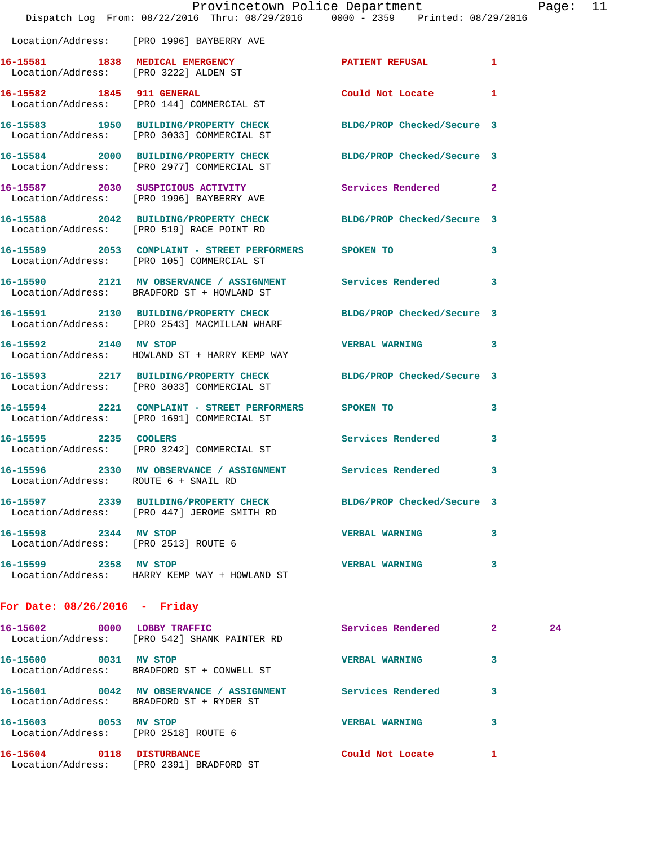| Provincetown Police Department<br>Dispatch Log From: 08/22/2016 Thru: 08/29/2016 0000 - 2359 Printed: 08/29/2016 |                                                                                                                  |                            | $P_{\tilde{c}}$         |
|------------------------------------------------------------------------------------------------------------------|------------------------------------------------------------------------------------------------------------------|----------------------------|-------------------------|
|                                                                                                                  | Location/Address: [PRO 1996] BAYBERRY AVE                                                                        |                            |                         |
|                                                                                                                  | 16-15581 1838 MEDICAL EMERGENCY<br>Location/Address: [PRO 3222] ALDEN ST                                         | PATIENT REFUSAL            | 1                       |
|                                                                                                                  | 16-15582 1845 911 GENERAL<br>Location/Address: [PRO 144] COMMERCIAL ST                                           | Could Not Locate           | 1                       |
|                                                                                                                  | 16-15583 1950 BUILDING/PROPERTY CHECK<br>Location/Address: [PRO 3033] COMMERCIAL ST                              | BLDG/PROP Checked/Secure 3 |                         |
|                                                                                                                  | 16-15584 2000 BUILDING/PROPERTY CHECK<br>Location/Address: [PRO 2977] COMMERCIAL ST                              | BLDG/PROP Checked/Secure 3 |                         |
|                                                                                                                  | 16-15587 2030 SUSPICIOUS ACTIVITY<br>Location/Address: [PRO 1996] BAYBERRY AVE                                   | Services Rendered          | $\overline{a}$          |
|                                                                                                                  | 16-15588 2042 BUILDING/PROPERTY CHECK<br>Location/Address: [PRO 519] RACE POINT RD                               | BLDG/PROP Checked/Secure 3 |                         |
|                                                                                                                  | 16-15589 2053 COMPLAINT - STREET PERFORMERS SPOKEN TO<br>Location/Address: [PRO 105] COMMERCIAL ST               |                            | 3                       |
|                                                                                                                  | 16-15590 2121 MV OBSERVANCE / ASSIGNMENT Services Rendered<br>Location/Address: BRADFORD ST + HOWLAND ST         |                            | $\overline{\mathbf{3}}$ |
|                                                                                                                  | 16-15591 2130 BUILDING/PROPERTY CHECK BLDG/PROP Checked/Secure 3<br>Location/Address: [PRO 2543] MACMILLAN WHARF |                            |                         |
| 16-15592 2140 MV STOP                                                                                            | Location/Address: HOWLAND ST + HARRY KEMP WAY                                                                    | <b>VERBAL WARNING</b>      | 3                       |
|                                                                                                                  | 16-15593 2217 BUILDING/PROPERTY CHECK BLDG/PROP Checked/Secure 3<br>Location/Address: [PRO 3033] COMMERCIAL ST   |                            |                         |
|                                                                                                                  | 16-15594 2221 COMPLAINT - STREET PERFORMERS SPOKEN TO<br>Location/Address: [PRO 1691] COMMERCIAL ST              |                            | 3                       |
|                                                                                                                  | 16-15595 2235 COOLERS<br>Location/Address: [PRO 3242] COMMERCIAL ST                                              | <b>Services Rendered</b>   | 3                       |
| Location/Address: ROUTE 6 + SNAIL RD                                                                             | 16-15596 2330 MV OBSERVANCE / ASSIGNMENT                                                                         | <b>Services Rendered</b>   |                         |
|                                                                                                                  | 16-15597 2339 BUILDING/PROPERTY CHECK BLDG/PROP Checked/Secure 3<br>Location/Address: [PRO 447] JEROME SMITH RD  |                            |                         |
| 16-15598 2344 MV STOP<br>Location/Address: [PRO 2513] ROUTE 6                                                    |                                                                                                                  | <b>VERBAL WARNING</b>      | 3                       |
| 16-15599 2358 MV STOP                                                                                            | Location/Address: HARRY KEMP WAY + HOWLAND ST                                                                    | <b>VERBAL WARNING</b>      | 3                       |
| For Date: $08/26/2016$ - Friday                                                                                  |                                                                                                                  |                            |                         |

| 16–15602 | 0000 | LOBBY TRAFFIC<br>Location/Address: [PRO 542] SHANK PAINTER RD          | Services Rendered     | 2 | 24 |
|----------|------|------------------------------------------------------------------------|-----------------------|---|----|
| 16-15600 | 0031 | MV STOP<br>Location/Address: BRADFORD ST + CONWELL ST                  | <b>VERBAL WARNING</b> |   |    |
| 16–15601 | 0042 | MV OBSERVANCE / ASSIGNMENT<br>Location/Address: BRADFORD ST + RYDER ST | Services Rendered     | 3 |    |
| 16-15603 | 0053 | MV STOP<br>Location/Address: [PRO 2518] ROUTE 6                        | <b>VERBAL WARNING</b> | 3 |    |
| 16-15604 | 0118 | <b>DISTURBANCE</b><br>Location/Address: [PRO 2391] BRADFORD ST         | Could Not Locate      |   |    |

age: 11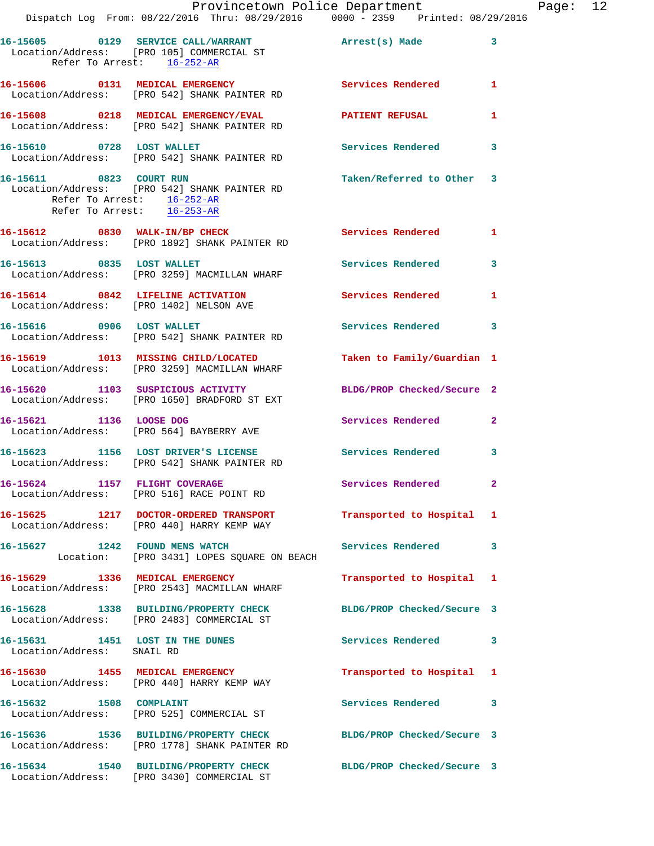|                            |                                                                                                                   | Provincetown Police Department Page: 12 |              |  |
|----------------------------|-------------------------------------------------------------------------------------------------------------------|-----------------------------------------|--------------|--|
|                            | Dispatch Log From: 08/22/2016 Thru: 08/29/2016   0000 - 2359   Printed: 08/29/2016                                |                                         |              |  |
| Refer To Arrest: 16-252-AR | 16-15605 0129 SERVICE CALL/WARRANT Arrest(s) Made 3<br>Location/Address: [PRO 105] COMMERCIAL ST                  |                                         |              |  |
|                            | 16-15606 0131 MEDICAL EMERGENCY Services Rendered 1<br>Location/Address: [PRO 542] SHANK PAINTER RD               |                                         |              |  |
|                            | 16-15608 0218 MEDICAL EMERGENCY/EVAL PATIENT REFUSAL<br>Location/Address: [PRO 542] SHANK PAINTER RD              |                                         | $\mathbf{1}$ |  |
|                            | 16-15610 0728 LOST WALLET Services Rendered 3<br>Location/Address: [PRO 542] SHANK PAINTER RD                     |                                         |              |  |
| Refer To Arrest: 16-253-AR | 16-15611 0823 COURT RUN<br>Location/Address: [PRO 542] SHANK PAINTER RD<br>Refer To Arrest: 16-252-AR             | Taken/Referred to Other 3               |              |  |
|                            | 16-15612 0830 WALK-IN/BP CHECK Services Rendered 1<br>Location/Address: [PRO 1892] SHANK PAINTER RD               |                                         |              |  |
|                            | 16-15613 0835 LOST WALLET<br>Location/Address: [PRO 3259] MACMILLAN WHARF                                         | Services Rendered 3                     |              |  |
|                            | 16-15614 0842 LIFELINE ACTIVATION Services Rendered 1<br>Location/Address: [PRO 1402] NELSON AVE                  |                                         |              |  |
|                            | 16-15616 0906 LOST WALLET<br>Location/Address: [PRO 542] SHANK PAINTER RD                                         | Services Rendered 3                     |              |  |
|                            | 16-15619 1013 MISSING CHILD/LOCATED<br>Location/Address: [PRO 3259] MACMILLAN WHARF                               | Taken to Family/Guardian 1              |              |  |
|                            | 16-15620 1103 SUSPICIOUS ACTIVITY<br>Location/Address: [PRO 1650] BRADFORD ST EXT                                 | BLDG/PROP Checked/Secure 2              |              |  |
|                            | 16-15621 1136 LOOSE DOG<br>Location/Address: [PRO 564] BAYBERRY AVE                                               | Services Rendered 2                     |              |  |
|                            | 16-15623 1156 LOST DRIVER'S LICENSE Services Rendered<br>Location/Address: [PRO 542] SHANK PAINTER RD             |                                         | 3            |  |
|                            | 16-15624 1157 FLIGHT COVERAGE<br>Location/Address: [PRO 516] RACE POINT RD                                        | Services Rendered                       | $\mathbf{2}$ |  |
|                            | 16-15625 1217 DOCTOR-ORDERED TRANSPORT Transported to Hospital 1<br>Location/Address: [PRO 440] HARRY KEMP WAY    |                                         |              |  |
|                            | 16-15627 1242 FOUND MENS WATCH Services Rendered<br>Location: [PRO 3431] LOPES SQUARE ON BEACH                    |                                         | 3            |  |
|                            | 16-15629 1336 MEDICAL EMERGENCY<br>Location/Address: [PRO 2543] MACMILLAN WHARF                                   | Transported to Hospital 1               |              |  |
|                            | 16-15628 1338 BUILDING/PROPERTY CHECK BLDG/PROP Checked/Secure 3<br>Location/Address: [PRO 2483] COMMERCIAL ST    |                                         |              |  |
| Location/Address: SNAIL RD | 16-15631 1451 LOST IN THE DUNES Services Rendered 3                                                               |                                         |              |  |
|                            | 16-15630 1455 MEDICAL EMERGENCY<br>Location/Address: [PRO 440] HARRY KEMP WAY                                     | Transported to Hospital 1               |              |  |
| 16-15632 1508 COMPLAINT    | Location/Address: [PRO 525] COMMERCIAL ST                                                                         | <b>Services Rendered</b>                | 3            |  |
|                            | 16-15636 1536 BUILDING/PROPERTY CHECK BLDG/PROP Checked/Secure 3<br>Location/Address: [PRO 1778] SHANK PAINTER RD |                                         |              |  |
|                            | 16-15634 1540 BUILDING/PROPERTY CHECK BLDG/PROP Checked/Secure 3<br>Location/Address: [PRO 3430] COMMERCIAL ST    |                                         |              |  |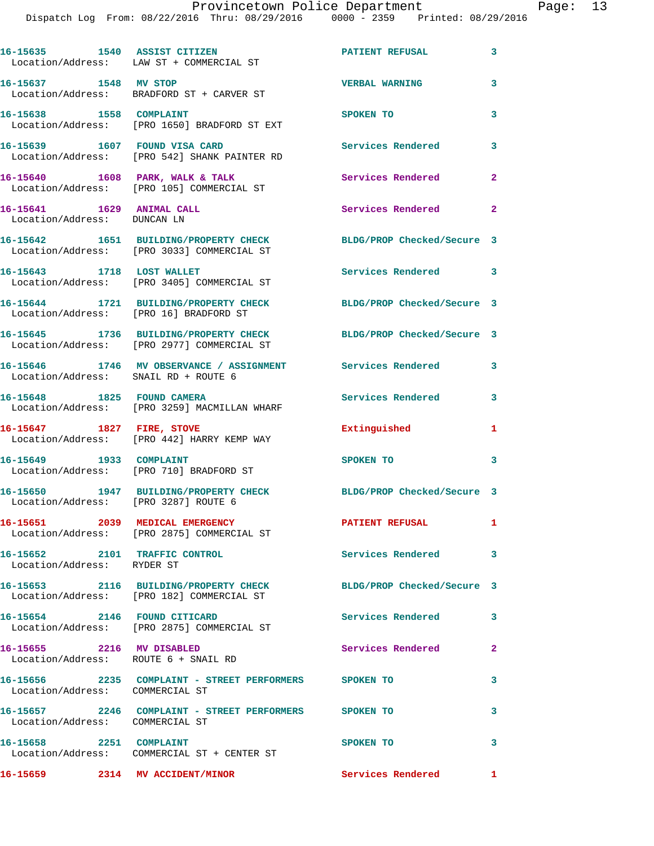|                                                             | 16-15635 1540 ASSIST CITIZEN<br>Location/Address: LAW ST + COMMERCIAL ST            | <b>PATIENT REFUSAL</b>     | 3                       |
|-------------------------------------------------------------|-------------------------------------------------------------------------------------|----------------------------|-------------------------|
|                                                             | 16-15637 1548 MV STOP<br>Location/Address: BRADFORD ST + CARVER ST                  | <b>VERBAL WARNING</b>      | 3                       |
| 16-15638 1558 COMPLAINT                                     | Location/Address: [PRO 1650] BRADFORD ST EXT                                        | SPOKEN TO                  | 3                       |
| 16-15639 1607 FOUND VISA CARD                               | Location/Address: [PRO 542] SHANK PAINTER RD                                        | <b>Services Rendered</b>   | 3                       |
|                                                             | 16-15640 1608 PARK, WALK & TALK<br>Location/Address: [PRO 105] COMMERCIAL ST        | Services Rendered          | $\mathbf{2}$            |
| 16-15641 1629 ANIMAL CALL<br>Location/Address: DUNCAN LN    |                                                                                     | Services Rendered          | $\overline{2}$          |
|                                                             | 16-15642 1651 BUILDING/PROPERTY CHECK<br>Location/Address: [PRO 3033] COMMERCIAL ST | BLDG/PROP Checked/Secure 3 |                         |
| 16-15643 1718 LOST WALLET                                   | Location/Address: [PRO 3405] COMMERCIAL ST                                          | Services Rendered 3        |                         |
| Location/Address: [PRO 16] BRADFORD ST                      | 16-15644 1721 BUILDING/PROPERTY CHECK                                               | BLDG/PROP Checked/Secure 3 |                         |
|                                                             | 16-15645 1736 BUILDING/PROPERTY CHECK<br>Location/Address: [PRO 2977] COMMERCIAL ST | BLDG/PROP Checked/Secure 3 |                         |
| Location/Address: SNAIL RD + ROUTE 6                        | 16-15646 1746 MV OBSERVANCE / ASSIGNMENT Services Rendered                          |                            | 3                       |
| 16-15648 1825 FOUND CAMERA                                  | Location/Address: [PRO 3259] MACMILLAN WHARF                                        | Services Rendered          | $\overline{\mathbf{3}}$ |
|                                                             | 16-15647 1827 FIRE, STOVE<br>Location/Address: [PRO 442] HARRY KEMP WAY             | Extinguished               | 1                       |
| 16-15649 1933 COMPLAINT                                     | Location/Address: [PRO 710] BRADFORD ST                                             | SPOKEN TO                  | 3                       |
| Location/Address: [PRO 3287] ROUTE 6                        | 16-15650 1947 BUILDING/PROPERTY CHECK                                               | BLDG/PROP Checked/Secure 3 |                         |
|                                                             | 16-15651 2039 MEDICAL EMERGENCY<br>Location/Address: [PRO 2875] COMMERCIAL ST       | <b>PATIENT REFUSAL</b>     | 1                       |
| 16-15652 2101 TRAFFIC CONTROL<br>Location/Address: RYDER ST |                                                                                     | Services Rendered 3        |                         |
|                                                             | 16-15653 2116 BUILDING/PROPERTY CHECK<br>Location/Address: [PRO 182] COMMERCIAL ST  | BLDG/PROP Checked/Secure 3 |                         |
| 16-15654 2146 FOUND CITICARD                                | Location/Address: [PRO 2875] COMMERCIAL ST                                          | Services Rendered          | 3                       |
| 16-15655 2216 MV DISABLED                                   | Location/Address: ROUTE 6 + SNAIL RD                                                | Services Rendered          | $\mathbf{2}$            |
| Location/Address: COMMERCIAL ST                             | 16-15656 2235 COMPLAINT - STREET PERFORMERS SPOKEN TO                               |                            | 3                       |
| Location/Address: COMMERCIAL ST                             | 16-15657 2246 COMPLAINT - STREET PERFORMERS SPOKEN TO                               |                            | 3                       |
| 16-15658 2251 COMPLAINT                                     | Location/Address: COMMERCIAL ST + CENTER ST                                         | SPOKEN TO                  | 3                       |
| 16-15659 2314 MV ACCIDENT/MINOR                             |                                                                                     | <b>Services Rendered</b> 1 |                         |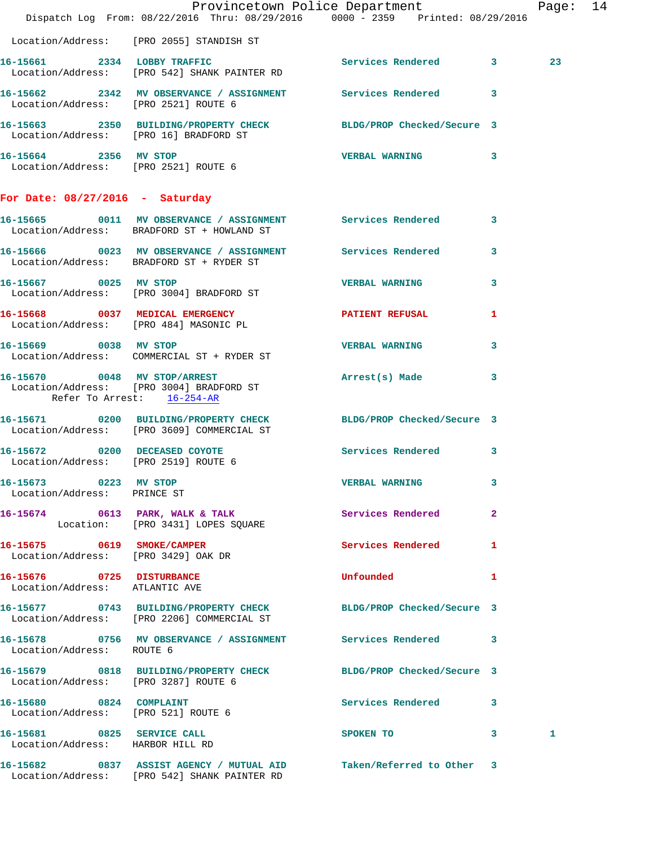|                                                                   | Dispatch Log From: 08/22/2016 Thru: 08/29/2016 0000 - 2359 Printed: 08/29/2016                                     | Provincetown Police Department |              | Page: 14 |  |
|-------------------------------------------------------------------|--------------------------------------------------------------------------------------------------------------------|--------------------------------|--------------|----------|--|
|                                                                   | Location/Address: [PRO 2055] STANDISH ST                                                                           |                                |              |          |  |
|                                                                   | 16-15661 2334 LOBBY TRAFFIC Services Rendered 3<br>Location/Address: [PRO 542] SHANK PAINTER RD                    |                                |              | 23       |  |
|                                                                   | 16-15662 2342 MV OBSERVANCE / ASSIGNMENT Services Rendered 3<br>Location/Address: [PRO 2521] ROUTE 6               |                                |              |          |  |
|                                                                   | 16-15663 2350 BUILDING/PROPERTY CHECK BLDG/PROP Checked/Secure 3<br>Location/Address: [PRO 16] BRADFORD ST         |                                |              |          |  |
|                                                                   | 16-15664 2356 MV STOP<br>Location/Address: [PRO 2521] ROUTE 6                                                      | VERBAL WARNING 3               |              |          |  |
| For Date: $08/27/2016$ - Saturday                                 |                                                                                                                    |                                |              |          |  |
|                                                                   | 16-15665 0011 MV OBSERVANCE / ASSIGNMENT Services Rendered 3<br>Location/Address: BRADFORD ST + HOWLAND ST         |                                |              |          |  |
|                                                                   | 16-15666 0023 MV OBSERVANCE / ASSIGNMENT Services Rendered 3<br>Location/Address: BRADFORD ST + RYDER ST           |                                |              |          |  |
|                                                                   | 16-15667 0025 MV STOP<br>Location/Address: [PRO 3004] BRADFORD ST                                                  | <b>VERBAL WARNING</b>          | $\mathbf{3}$ |          |  |
|                                                                   | 16-15668 0037 MEDICAL EMERGENCY<br>Location/Address: [PRO 484] MASONIC PL                                          | PATIENT REFUSAL                | 1            |          |  |
|                                                                   | 16-15669 0038 MV STOP<br>Location/Address: COMMERCIAL ST + RYDER ST                                                | <b>VERBAL WARNING</b>          | 3            |          |  |
| Refer To Arrest: 16-254-AR                                        | 16-15670 0048 MV STOP/ARREST<br>Location/Address: [PRO 3004] BRADFORD ST                                           | Arrest(s) Made                 | $\mathbf{3}$ |          |  |
|                                                                   | 16-15671 0200 BUILDING/PROPERTY CHECK BLDG/PROP Checked/Secure 3<br>Location/Address: [PRO 3609] COMMERCIAL ST     |                                |              |          |  |
| Location/Address: [PRO 2519] ROUTE 6                              | 16-15672 0200 DECEASED COYOTE                                                                                      | Services Rendered 3            |              |          |  |
| 16-15673 0223 MV STOP<br>Location/Address: PRINCE ST              |                                                                                                                    | <b>VERBAL WARNING</b>          |              |          |  |
|                                                                   | 16-15674 0613 PARK, WALK & TALK 3 Services Rendered 2<br>Location: [PRO 3431] LOPES SQUARE                         |                                |              |          |  |
| 16-15675 0619 SMOKE/CAMPER<br>Location/Address: [PRO 3429] OAK DR |                                                                                                                    | <b>Services Rendered</b>       | $\mathbf{1}$ |          |  |
| 16-15676 0725 DISTURBANCE<br>Location/Address: ATLANTIC AVE       |                                                                                                                    | Unfounded                      | 1            |          |  |
|                                                                   | 16-15677 0743 BUILDING/PROPERTY CHECK BLDG/PROP Checked/Secure 3<br>Location/Address: [PRO 2206] COMMERCIAL ST     |                                |              |          |  |
| Location/Address: ROUTE 6                                         | 16-15678 0756 MV OBSERVANCE / ASSIGNMENT Services Rendered 3                                                       |                                |              |          |  |
| Location/Address: [PRO 3287] ROUTE 6                              | 16-15679 0818 BUILDING/PROPERTY CHECK BLDG/PROP Checked/Secure 3                                                   |                                |              |          |  |
| 16-15680 0824 COMPLAINT<br>Location/Address: [PRO 521] ROUTE 6    |                                                                                                                    | Services Rendered 3            |              |          |  |
| 16-15681 0825 SERVICE CALL<br>Location/Address: HARBOR HILL RD    |                                                                                                                    | SPOKEN TO 3                    |              | 1        |  |
|                                                                   | 16-15682 0837 ASSIST AGENCY / MUTUAL AID Taken/Referred to Other 3<br>Location/Address: [PRO 542] SHANK PAINTER RD |                                |              |          |  |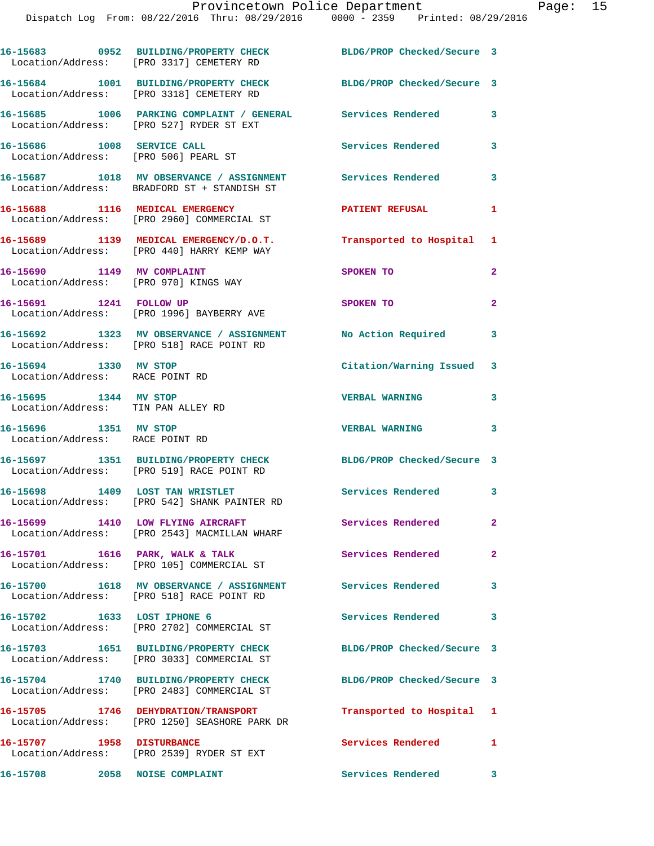|                                                                     | 16-15683 0952 BUILDING/PROPERTY CHECK<br>Location/Address: [PRO 3317] CEMETERY RD                         | BLDG/PROP Checked/Secure 3 |                |
|---------------------------------------------------------------------|-----------------------------------------------------------------------------------------------------------|----------------------------|----------------|
|                                                                     | 16-15684 1001 BUILDING/PROPERTY CHECK<br>Location/Address: [PRO 3318] CEMETERY RD                         | BLDG/PROP Checked/Secure 3 |                |
|                                                                     | 16-15685 1006 PARKING COMPLAINT / GENERAL Services Rendered<br>Location/Address: [PRO 527] RYDER ST EXT   |                            | 3              |
| 16-15686 1008 SERVICE CALL                                          | Location/Address: [PRO 506] PEARL ST                                                                      | <b>Services Rendered</b>   | 3              |
|                                                                     | 16-15687 1018 MV OBSERVANCE / ASSIGNMENT Services Rendered<br>Location/Address: BRADFORD ST + STANDISH ST |                            | 3              |
| 16-15688 1116 MEDICAL EMERGENCY                                     | Location/Address: [PRO 2960] COMMERCIAL ST                                                                | <b>PATIENT REFUSAL</b>     | $\mathbf{1}$   |
|                                                                     | 16-15689 1139 MEDICAL EMERGENCY/D.O.T.<br>Location/Address: [PRO 440] HARRY KEMP WAY                      | Transported to Hospital 1  |                |
| 16-15690 1149 MV COMPLAINT<br>Location/Address: [PRO 970] KINGS WAY |                                                                                                           | SPOKEN TO                  | $\overline{2}$ |
| 16-15691 1241 FOLLOW UP                                             | Location/Address: [PRO 1996] BAYBERRY AVE                                                                 | SPOKEN TO                  | $\overline{a}$ |
|                                                                     | 16-15692 1323 MV OBSERVANCE / ASSIGNMENT<br>Location/Address: [PRO 518] RACE POINT RD                     | No Action Required         | 3              |
| 16-15694 1330 MV STOP<br>Location/Address: RACE POINT RD            |                                                                                                           | Citation/Warning Issued 3  |                |
| 16-15695 1344 MV STOP<br>Location/Address: TIN PAN ALLEY RD         |                                                                                                           | <b>VERBAL WARNING</b>      | 3              |
| 16-15696 1351 MV STOP<br>Location/Address: RACE POINT RD            |                                                                                                           | <b>VERBAL WARNING</b>      | 3              |
|                                                                     | 16-15697 1351 BUILDING/PROPERTY CHECK<br>Location/Address: [PRO 519] RACE POINT RD                        | BLDG/PROP Checked/Secure 3 |                |
|                                                                     | 16-15698 1409 LOST TAN WRISTLET<br>Location/Address: [PRO 542] SHANK PAINTER RD                           | Services Rendered 3        |                |
| 16-15699                                                            | 1410 LOW FLYING AIRCRAFT<br>Location/Address: [PRO 2543] MACMILLAN WHARF                                  | <b>Services Rendered</b>   | $\mathbf{2}^-$ |
|                                                                     | 16-15701 1616 PARK, WALK & TALK<br>Location/Address: [PRO 105] COMMERCIAL ST                              | Services Rendered          | $\mathbf{2}$   |
|                                                                     | 16-15700 1618 MV OBSERVANCE / ASSIGNMENT Services Rendered<br>Location/Address: [PRO 518] RACE POINT RD   |                            | 3              |
|                                                                     | 16-15702 1633 LOST IPHONE 6<br>Location/Address: [PRO 2702] COMMERCIAL ST                                 | <b>Services Rendered</b>   | 3              |
|                                                                     | 16-15703 1651 BUILDING/PROPERTY CHECK<br>Location/Address: [PRO 3033] COMMERCIAL ST                       | BLDG/PROP Checked/Secure 3 |                |
|                                                                     | 16-15704 1740 BUILDING/PROPERTY CHECK<br>Location/Address: [PRO 2483] COMMERCIAL ST                       | BLDG/PROP Checked/Secure 3 |                |
|                                                                     | 16-15705 1746 DEHYDRATION/TRANSPORT<br>Location/Address: [PRO 1250] SEASHORE PARK DR                      | Transported to Hospital 1  |                |
| 16-15707 1958 DISTURBANCE                                           | Location/Address: [PRO 2539] RYDER ST EXT                                                                 | Services Rendered 1        |                |
| 16-15708 2058 NOISE COMPLAINT                                       |                                                                                                           | Services Rendered 3        |                |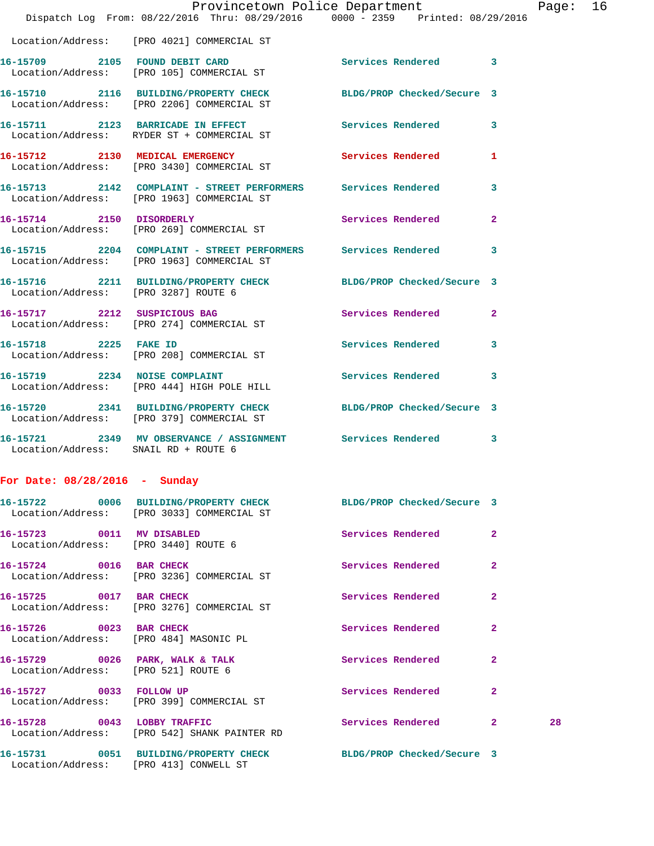|                                      | Dispatch Log From: 08/22/2016 Thru: 08/29/2016 0000 - 2359 Printed: 08/29/2016                                 | Provincetown Police Department Page: 16 |              |    |  |
|--------------------------------------|----------------------------------------------------------------------------------------------------------------|-----------------------------------------|--------------|----|--|
|                                      | Location/Address: [PRO 4021] COMMERCIAL ST                                                                     |                                         |              |    |  |
|                                      | 16-15709 2105 FOUND DEBIT CARD<br>Location/Address: [PRO 105] COMMERCIAL ST                                    | Services Rendered 3                     |              |    |  |
|                                      | 16-15710 2116 BUILDING/PROPERTY CHECK BLDG/PROP Checked/Secure 3<br>Location/Address: [PRO 2206] COMMERCIAL ST |                                         |              |    |  |
|                                      | 16-15711 2123 BARRICADE IN EFFECT Services Rendered 3<br>Location/Address: RYDER ST + COMMERCIAL ST            |                                         |              |    |  |
|                                      | 16-15712 2130 MEDICAL EMERGENCY<br>Location/Address: [PRO 3430] COMMERCIAL ST                                  | <b>Services Rendered</b>                | 1            |    |  |
|                                      | 16-15713 2142 COMPLAINT - STREET PERFORMERS Services Rendered<br>Location/Address: [PRO 1963] COMMERCIAL ST    |                                         | $\mathbf{3}$ |    |  |
|                                      | 16-15714 2150 DISORDERLY<br>Location/Address: [PRO 269] COMMERCIAL ST                                          | Services Rendered                       | $\mathbf{2}$ |    |  |
|                                      | 16-15715 2204 COMPLAINT - STREET PERFORMERS Services Rendered<br>Location/Address: [PRO 1963] COMMERCIAL ST    |                                         | 3            |    |  |
| Location/Address: [PRO 3287] ROUTE 6 | 16-15716 2211 BUILDING/PROPERTY CHECK BLDG/PROP Checked/Secure 3                                               |                                         |              |    |  |
|                                      | 16-15717 2212 SUSPICIOUS BAG<br>Location/Address: [PRO 274] COMMERCIAL ST                                      | Services Rendered                       | $\mathbf{2}$ |    |  |
|                                      | 16-15718 2225 FAKE ID<br>Location/Address: [PRO 208] COMMERCIAL ST                                             | Services Rendered 3                     |              |    |  |
|                                      | 16-15719 2234 NOISE COMPLAINT<br>Location/Address: [PRO 444] HIGH POLE HILL                                    | Services Rendered                       | 3            |    |  |
|                                      | 16-15720 2341 BUILDING/PROPERTY CHECK BLDG/PROP Checked/Secure 3<br>Location/Address: [PRO 379] COMMERCIAL ST  |                                         |              |    |  |
| Location/Address: SNAIL RD + ROUTE 6 | 16-15721 2349 MV OBSERVANCE / ASSIGNMENT Services Rendered                                                     |                                         | 3            |    |  |
| For Date: $08/28/2016$ - Sunday      |                                                                                                                |                                         |              |    |  |
|                                      | 16-15722 0006 BUILDING/PROPERTY CHECK BLDG/PROP Checked/Secure 3<br>Location/Address: [PRO 3033] COMMERCIAL ST |                                         |              |    |  |
|                                      | 16-15723 0011 MV DISABLED<br>Location/Address: [PRO 3440] ROUTE 6                                              | Services Rendered                       | $\mathbf{2}$ |    |  |
| 16-15724 0016 BAR CHECK              | Location/Address: [PRO 3236] COMMERCIAL ST                                                                     | Services Rendered                       | $\mathbf{2}$ |    |  |
|                                      | 16-15725 0017 BAR CHECK<br>Location/Address: [PRO 3276] COMMERCIAL ST                                          | Services Rendered                       | $\mathbf{2}$ |    |  |
| 16-15726 0023 BAR CHECK              | Location/Address: [PRO 484] MASONIC PL                                                                         | Services Rendered                       | $\mathbf{2}$ |    |  |
| Location/Address: [PRO 521] ROUTE 6  | 16-15729 0026 PARK, WALK & TALK                                                                                | <b>Services Rendered</b>                | $\mathbf{2}$ |    |  |
|                                      | 16-15727 0033 FOLLOW UP<br>Location/Address: [PRO 399] COMMERCIAL ST                                           | Services Rendered                       | 2            |    |  |
|                                      | 16-15728 0043 LOBBY TRAFFIC<br>Location/Address: [PRO 542] SHANK PAINTER RD                                    | Services Rendered 2                     |              | 28 |  |
|                                      | 16-15731 0051 BUILDING/PROPERTY CHECK BLDG/PROP Checked/Secure 3                                               |                                         |              |    |  |

Location/Address: [PRO 413] CONWELL ST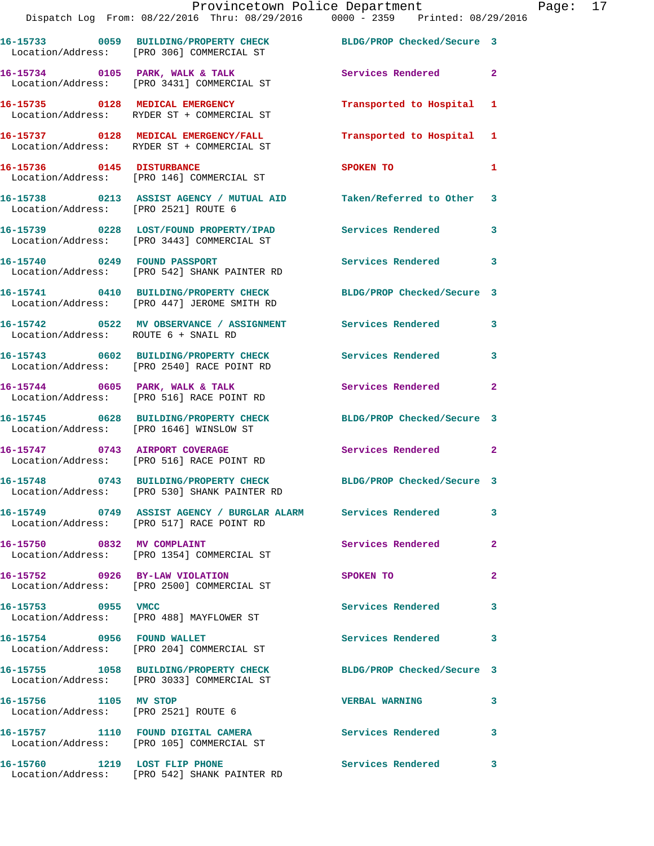|                                      | Provincetown Police Department<br>Dispatch Log From: 08/22/2016 Thru: 08/29/2016   0000 - 2359   Printed: 08/29/2016 |                            |                |
|--------------------------------------|----------------------------------------------------------------------------------------------------------------------|----------------------------|----------------|
|                                      | 16-15733 0059 BUILDING/PROPERTY CHECK BLDG/PROP Checked/Secure 3<br>Location/Address: [PRO 306] COMMERCIAL ST        |                            |                |
|                                      | 16-15734 0105 PARK, WALK & TALK<br>Location/Address: [PRO 3431] COMMERCIAL ST                                        | <b>Services Rendered</b>   | $\overline{2}$ |
|                                      | 16-15735 0128 MEDICAL EMERGENCY<br>Location/Address: RYDER ST + COMMERCIAL ST                                        | Transported to Hospital    | 1              |
|                                      | 16-15737 0128 MEDICAL EMERGENCY/FALL<br>Location/Address: RYDER ST + COMMERCIAL ST                                   | Transported to Hospital    | 1              |
|                                      | 16-15736 0145 DISTURBANCE<br>Location/Address: [PRO 146] COMMERCIAL ST                                               | SPOKEN TO                  | 1              |
| Location/Address: [PRO 2521] ROUTE 6 | 16-15738 0213 ASSIST AGENCY / MUTUAL AID Taken/Referred to Other                                                     |                            | 3              |
|                                      | 16-15739 0228 LOST/FOUND PROPERTY/IPAD Services Rendered<br>Location/Address: [PRO 3443] COMMERCIAL ST               |                            | 3              |
|                                      | 16-15740 0249 FOUND PASSPORT<br>Location/Address: [PRO 542] SHANK PAINTER RD                                         | Services Rendered          | 3              |
|                                      | 16-15741 0410 BUILDING/PROPERTY CHECK<br>Location/Address: [PRO 447] JEROME SMITH RD                                 | BLDG/PROP Checked/Secure 3 |                |
| Location/Address: ROUTE 6 + SNAIL RD | 16-15742 0522 MV OBSERVANCE / ASSIGNMENT Services Rendered                                                           |                            | 3              |
|                                      | 16-15743 0602 BUILDING/PROPERTY CHECK<br>Location/Address: [PRO 2540] RACE POINT RD                                  | Services Rendered          | 3              |
|                                      | 16-15744 0605 PARK, WALK & TALK<br>Location/Address: [PRO 516] RACE POINT RD                                         | Services Rendered          | $\overline{a}$ |
|                                      | 16-15745 0628 BUILDING/PROPERTY CHECK BLDG/PROP Checked/Secure 3<br>Location/Address: [PRO 1646] WINSLOW ST          |                            |                |
|                                      | 16-15747 0743 AIRPORT COVERAGE<br>Location/Address: [PRO 516] RACE POINT RD                                          | Services Rendered          | $\mathbf{2}$   |
|                                      | 16-15748 0743 BUILDING/PROPERTY CHECK<br>Location/Address: [PRO 530] SHANK PAINTER RD                                | BLDG/PROP Checked/Secure 3 |                |
|                                      | 16-15749 0749 ASSIST AGENCY / BURGLAR ALARM Services Rendered<br>Location/Address: [PRO 517] RACE POINT RD           |                            | 3              |
| 16-15750 0832 MV COMPLAINT           | Location/Address: [PRO 1354] COMMERCIAL ST                                                                           | Services Rendered          | $\overline{a}$ |
| 16-15752 0926 BY-LAW VIOLATION       | Location/Address: [PRO 2500] COMMERCIAL ST                                                                           | SPOKEN TO                  | $\overline{a}$ |
| 16-15753 0955 VMCC                   | Location/Address: [PRO 488] MAYFLOWER ST                                                                             | <b>Services Rendered</b>   | 3              |
| 16-15754 0956 FOUND WALLET           | Location/Address: [PRO 204] COMMERCIAL ST                                                                            | Services Rendered          | 3              |
|                                      | 16-15755 1058 BUILDING/PROPERTY CHECK<br>Location/Address: [PRO 3033] COMMERCIAL ST                                  | BLDG/PROP Checked/Secure 3 |                |
| 16-15756 1105 MV STOP                | Location/Address: [PRO 2521] ROUTE 6                                                                                 | <b>VERBAL WARNING</b>      | 3              |
|                                      | 16-15757 1110 FOUND DIGITAL CAMERA<br>Location/Address: [PRO 105] COMMERCIAL ST                                      | <b>Services Rendered</b>   | 3              |
|                                      |                                                                                                                      | Services Rendered          | 3              |

Location/Address: [PRO 542] SHANK PAINTER RD

Page: 17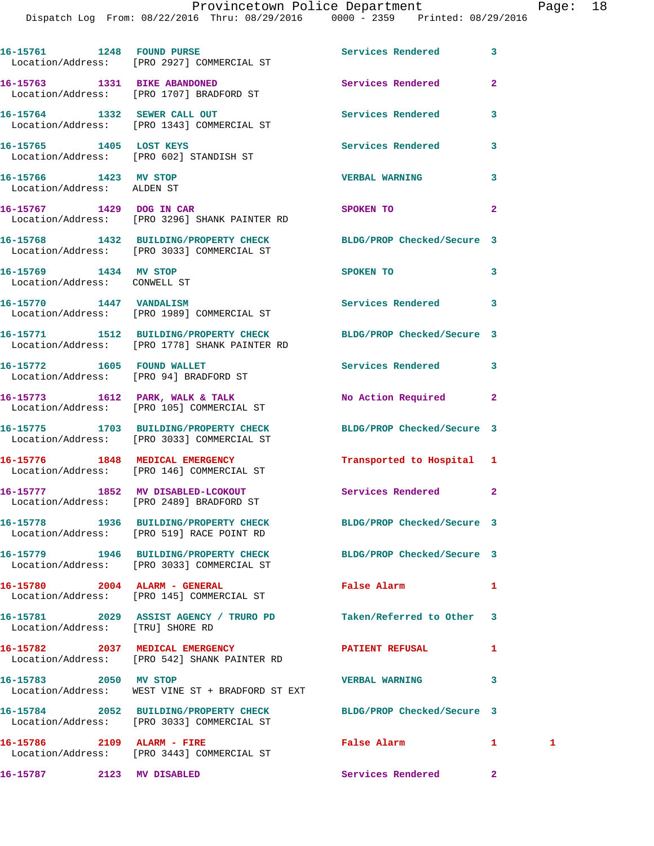|                                                       | 16-15761 1248 FOUND PURSE<br>Location/Address: [PRO 2927] COMMERCIAL ST                                        | Services Rendered          | 3              |              |
|-------------------------------------------------------|----------------------------------------------------------------------------------------------------------------|----------------------------|----------------|--------------|
|                                                       | 16-15763 1331 BIKE ABANDONED<br>Location/Address: [PRO 1707] BRADFORD ST                                       | Services Rendered          | $\overline{2}$ |              |
|                                                       | 16-15764 1332 SEWER CALL OUT<br>Location/Address: [PRO 1343] COMMERCIAL ST                                     | Services Rendered          | 3              |              |
| 16-15765 1405 LOST KEYS                               | Location/Address: [PRO 602] STANDISH ST                                                                        | Services Rendered          | 3              |              |
| 16-15766 1423 MV STOP<br>Location/Address: ALDEN ST   |                                                                                                                | <b>VERBAL WARNING</b>      | 3              |              |
|                                                       | 16-15767 1429 DOG IN CAR<br>Location/Address: [PRO 3296] SHANK PAINTER RD                                      | SPOKEN TO                  | $\mathbf{2}$   |              |
|                                                       | 16-15768 1432 BUILDING/PROPERTY CHECK BLDG/PROP Checked/Secure 3<br>Location/Address: [PRO 3033] COMMERCIAL ST |                            |                |              |
| 16-15769 1434 MV STOP<br>Location/Address: CONWELL ST |                                                                                                                | SPOKEN TO                  | 3              |              |
| 16-15770 1447 VANDALISM                               | Location/Address: [PRO 1989] COMMERCIAL ST                                                                     | Services Rendered          | 3              |              |
|                                                       | 16-15771 1512 BUILDING/PROPERTY CHECK<br>Location/Address: [PRO 1778] SHANK PAINTER RD                         | BLDG/PROP Checked/Secure 3 |                |              |
| 16-15772 1605 FOUND WALLET                            | Location/Address: [PRO 94] BRADFORD ST                                                                         | Services Rendered          | 3              |              |
|                                                       | 16-15773 1612 PARK, WALK & TALK<br>Location/Address: [PRO 105] COMMERCIAL ST                                   | No Action Required         | $\mathbf{2}$   |              |
|                                                       | 16-15775 1703 BUILDING/PROPERTY CHECK<br>Location/Address: [PRO 3033] COMMERCIAL ST                            | BLDG/PROP Checked/Secure 3 |                |              |
|                                                       | 16-15776 1848 MEDICAL EMERGENCY<br>Location/Address: [PRO 146] COMMERCIAL ST                                   | Transported to Hospital 1  |                |              |
|                                                       | 16-15777 1852 MV DISABLED-LCOKOUT<br>Location/Address: [PRO 2489] BRADFORD ST                                  | Services Rendered          | $\mathbf{2}$   |              |
|                                                       | 16-15778 1936 BUILDING/PROPERTY CHECK<br>Location/Address: [PRO 519] RACE POINT RD                             | BLDG/PROP Checked/Secure 3 |                |              |
|                                                       | 16-15779 1946 BUILDING/PROPERTY CHECK BLDG/PROP Checked/Secure 3<br>Location/Address: [PRO 3033] COMMERCIAL ST |                            |                |              |
|                                                       | 16-15780 2004 ALARM - GENERAL<br>Location/Address: [PRO 145] COMMERCIAL ST                                     | False Alarm                | 1              |              |
| Location/Address: [TRU] SHORE RD                      | 16-15781 2029 ASSIST AGENCY / TRURO PD                                                                         | Taken/Referred to Other    | 3              |              |
|                                                       | 16-15782 2037 MEDICAL EMERGENCY<br>Location/Address: [PRO 542] SHANK PAINTER RD                                | <b>PATIENT REFUSAL</b>     | 1              |              |
| 16-15783 2050 MV STOP                                 | Location/Address: WEST VINE ST + BRADFORD ST EXT                                                               | <b>VERBAL WARNING</b>      | 3              |              |
|                                                       | 16-15784 2052 BUILDING/PROPERTY CHECK<br>Location/Address: [PRO 3033] COMMERCIAL ST                            | BLDG/PROP Checked/Secure 3 |                |              |
| 16-15786 2109 ALARM - FIRE                            | Location/Address: [PRO 3443] COMMERCIAL ST                                                                     | False Alarm                | 1              | $\mathbf{1}$ |
| 16-15787 2123 MV DISABLED                             |                                                                                                                | Services Rendered          | $\mathbf{2}$   |              |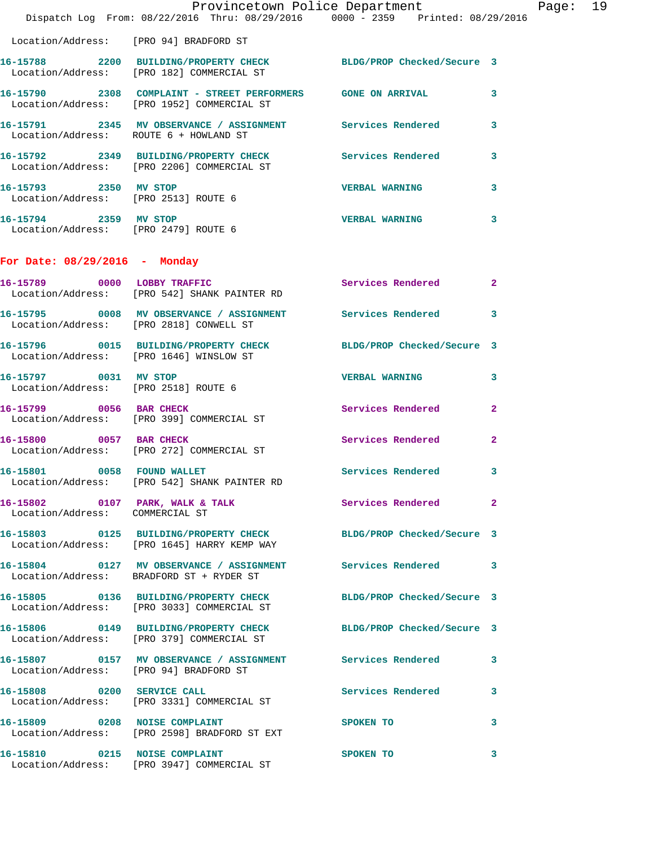|                                                               | Provincetown Police Department                                                                                  |                          |                |
|---------------------------------------------------------------|-----------------------------------------------------------------------------------------------------------------|--------------------------|----------------|
|                                                               | Dispatch Log From: 08/22/2016 Thru: 08/29/2016 0000 - 2359 Printed: 08/29/2016                                  |                          |                |
| Location/Address: [PRO 94] BRADFORD ST                        |                                                                                                                 |                          |                |
|                                                               | 16-15788 2200 BUILDING/PROPERTY CHECK BLDG/PROP Checked/Secure 3<br>Location/Address: [PRO 182] COMMERCIAL ST   |                          |                |
|                                                               | 16-15790 2308 COMPLAINT - STREET PERFORMERS GONE ON ARRIVAL<br>Location/Address: [PRO 1952] COMMERCIAL ST       |                          | 3              |
| Location/Address: ROUTE 6 + HOWLAND ST                        | 16-15791 2345 MV OBSERVANCE / ASSIGNMENT Services Rendered                                                      |                          | 3              |
|                                                               | 16-15792 2349 BUILDING/PROPERTY CHECK<br>Location/Address: [PRO 2206] COMMERCIAL ST                             | Services Rendered        | 3              |
| 16-15793 2350 MV STOP                                         | Location/Address: [PRO 2513] ROUTE 6                                                                            | <b>VERBAL WARNING</b>    | 3              |
| 16-15794 2359 MV STOP<br>Location/Address: [PRO 2479] ROUTE 6 |                                                                                                                 | <b>VERBAL WARNING</b>    | 3              |
| For Date: 08/29/2016 - Monday                                 |                                                                                                                 |                          |                |
|                                                               | 16-15789 0000 LOBBY TRAFFIC<br>Location/Address: [PRO 542] SHANK PAINTER RD                                     | <b>Services Rendered</b> | $\mathbf{2}$   |
|                                                               | 16-15795 0008 MV OBSERVANCE / ASSIGNMENT Services Rendered<br>Location/Address: [PRO 2818] CONWELL ST           |                          | 3              |
|                                                               | 16-15796 0015 BUILDING/PROPERTY CHECK BLDG/PROP Checked/Secure 3<br>Location/Address: [PRO 1646] WINSLOW ST     |                          |                |
| 16-15797 0031 MV STOP                                         | Location/Address: [PRO 2518] ROUTE 6                                                                            | <b>VERBAL WARNING</b>    | 3              |
| 16-15799 0056 BAR CHECK                                       | Location/Address: [PRO 399] COMMERCIAL ST                                                                       | Services Rendered        | $\overline{a}$ |
| 16-15800 0057 BAR CHECK                                       | Location/Address: [PRO 272] COMMERCIAL ST                                                                       | Services Rendered        | 2              |
| 16-15801 0058 FOUND WALLET                                    | Location/Address: [PRO 542] SHANK PAINTER RD                                                                    | Services Rendered 3      |                |
| Location/Address: COMMERCIAL ST                               | 16-15802 0107 PARK, WALK & TALK Services Rendered                                                               |                          | $\mathbf{2}$   |
|                                                               | 16-15803 0125 BUILDING/PROPERTY CHECK BLDG/PROP Checked/Secure 3<br>Location/Address: [PRO 1645] HARRY KEMP WAY |                          |                |
|                                                               | 16-15804 0127 MV OBSERVANCE / ASSIGNMENT Services Rendered 3<br>Location/Address: BRADFORD ST + RYDER ST        |                          |                |
|                                                               | 16-15805 0136 BUILDING/PROPERTY CHECK BLDG/PROP Checked/Secure 3<br>Location/Address: [PRO 3033] COMMERCIAL ST  |                          |                |
|                                                               | 16-15806 0149 BUILDING/PROPERTY CHECK BLDG/PROP Checked/Secure 3<br>Location/Address: [PRO 379] COMMERCIAL ST   |                          |                |
|                                                               | 16-15807 0157 MV OBSERVANCE / ASSIGNMENT Services Rendered<br>Location/Address: [PRO 94] BRADFORD ST            |                          | 3              |
|                                                               | 16-15808 0200 SERVICE CALL<br>Location/Address: [PRO 3331] COMMERCIAL ST                                        | Services Rendered        | 3              |
| 16-15809 0208 NOISE COMPLAINT                                 | Location/Address: [PRO 2598] BRADFORD ST EXT                                                                    | <b>SPOKEN TO</b>         | 3              |
| 16-15810 0215 NOISE COMPLAINT                                 | Location/Address: [PRO 3947] COMMERCIAL ST                                                                      | SPOKEN TO                | 3              |

Page: 19